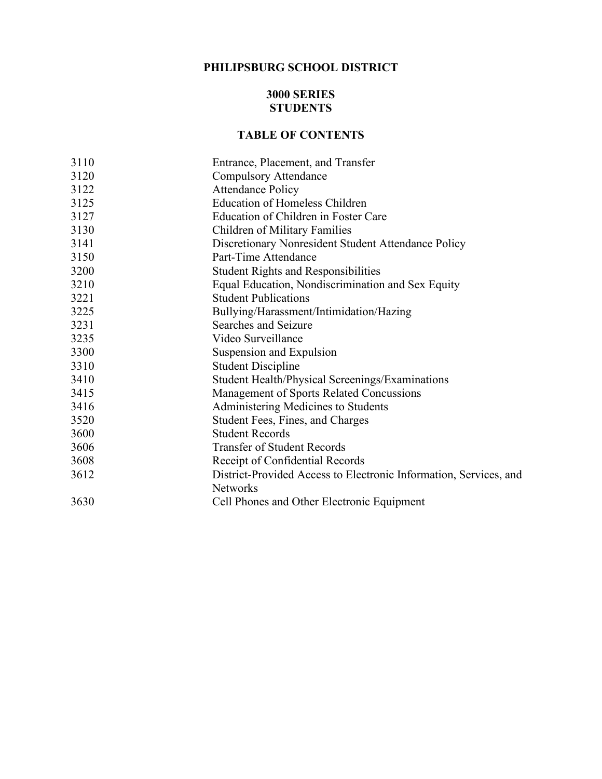## **PHILIPSBURG SCHOOL DISTRICT**

#### **3000 SERIES STUDENTS**

#### **TABLE OF CONTENTS**

| 3110 | Entrance, Placement, and Transfer                                 |  |  |
|------|-------------------------------------------------------------------|--|--|
| 3120 | <b>Compulsory Attendance</b>                                      |  |  |
| 3122 | <b>Attendance Policy</b>                                          |  |  |
| 3125 | <b>Education of Homeless Children</b>                             |  |  |
| 3127 | Education of Children in Foster Care                              |  |  |
| 3130 | Children of Military Families                                     |  |  |
| 3141 | Discretionary Nonresident Student Attendance Policy               |  |  |
| 3150 | Part-Time Attendance                                              |  |  |
| 3200 | <b>Student Rights and Responsibilities</b>                        |  |  |
| 3210 | Equal Education, Nondiscrimination and Sex Equity                 |  |  |
| 3221 | <b>Student Publications</b>                                       |  |  |
| 3225 | Bullying/Harassment/Intimidation/Hazing                           |  |  |
| 3231 | Searches and Seizure                                              |  |  |
| 3235 | Video Surveillance                                                |  |  |
| 3300 | Suspension and Expulsion                                          |  |  |
| 3310 | <b>Student Discipline</b>                                         |  |  |
| 3410 | Student Health/Physical Screenings/Examinations                   |  |  |
| 3415 | Management of Sports Related Concussions                          |  |  |
| 3416 | Administering Medicines to Students                               |  |  |
| 3520 | Student Fees, Fines, and Charges                                  |  |  |
| 3600 | <b>Student Records</b>                                            |  |  |
| 3606 | <b>Transfer of Student Records</b>                                |  |  |
| 3608 | Receipt of Confidential Records                                   |  |  |
| 3612 | District-Provided Access to Electronic Information, Services, and |  |  |
|      | <b>Networks</b>                                                   |  |  |
| 3630 | Cell Phones and Other Electronic Equipment                        |  |  |
|      |                                                                   |  |  |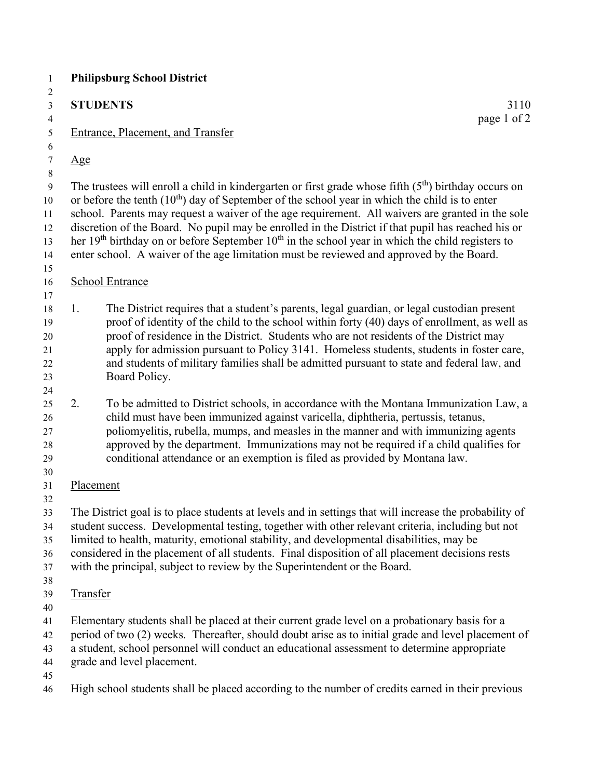|                 | <b>STUDENTS</b>                                                                                                                                                                                                                                                                                                                                                                                                                                                                                                                                                                                                                      | 3110        |
|-----------------|--------------------------------------------------------------------------------------------------------------------------------------------------------------------------------------------------------------------------------------------------------------------------------------------------------------------------------------------------------------------------------------------------------------------------------------------------------------------------------------------------------------------------------------------------------------------------------------------------------------------------------------|-------------|
|                 | Entrance, Placement, and Transfer                                                                                                                                                                                                                                                                                                                                                                                                                                                                                                                                                                                                    | page 1 of 2 |
| $\mathbf{Age}$  |                                                                                                                                                                                                                                                                                                                                                                                                                                                                                                                                                                                                                                      |             |
|                 | The trustees will enroll a child in kindergarten or first grade whose fifth $(5th)$ birthday occurs on<br>or before the tenth $(10^{th})$ day of September of the school year in which the child is to enter<br>school. Parents may request a waiver of the age requirement. All waivers are granted in the sole<br>discretion of the Board. No pupil may be enrolled in the District if that pupil has reached his or<br>her 19 <sup>th</sup> birthday on or before September $10th$ in the school year in which the child registers to<br>enter school. A waiver of the age limitation must be reviewed and approved by the Board. |             |
|                 | <b>School Entrance</b>                                                                                                                                                                                                                                                                                                                                                                                                                                                                                                                                                                                                               |             |
| 1.              | The District requires that a student's parents, legal guardian, or legal custodian present<br>proof of identity of the child to the school within forty (40) days of enrollment, as well as<br>proof of residence in the District. Students who are not residents of the District may<br>apply for admission pursuant to Policy 3141. Homeless students, students in foster care,<br>and students of military families shall be admitted pursuant to state and federal law, and<br>Board Policy.                                                                                                                                     |             |
| 2.              | To be admitted to District schools, in accordance with the Montana Immunization Law, a<br>child must have been immunized against varicella, diphtheria, pertussis, tetanus,<br>poliomyelitis, rubella, mumps, and measles in the manner and with immunizing agents<br>approved by the department. Immunizations may not be required if a child qualifies for<br>conditional attendance or an exemption is filed as provided by Montana law.                                                                                                                                                                                          |             |
| Placement       |                                                                                                                                                                                                                                                                                                                                                                                                                                                                                                                                                                                                                                      |             |
|                 | The District goal is to place students at levels and in settings that will increase the probability of<br>student success. Developmental testing, together with other relevant criteria, including but not<br>limited to health, maturity, emotional stability, and developmental disabilities, may be<br>considered in the placement of all students. Final disposition of all placement decisions rests<br>with the principal, subject to review by the Superintendent or the Board.                                                                                                                                               |             |
| <b>Transfer</b> |                                                                                                                                                                                                                                                                                                                                                                                                                                                                                                                                                                                                                                      |             |
|                 | Elementary students shall be placed at their current grade level on a probationary basis for a<br>period of two (2) weeks. Thereafter, should doubt arise as to initial grade and level placement of<br>a student, school personnel will conduct an educational assessment to determine appropriate<br>grade and level placement.                                                                                                                                                                                                                                                                                                    |             |
|                 |                                                                                                                                                                                                                                                                                                                                                                                                                                                                                                                                                                                                                                      |             |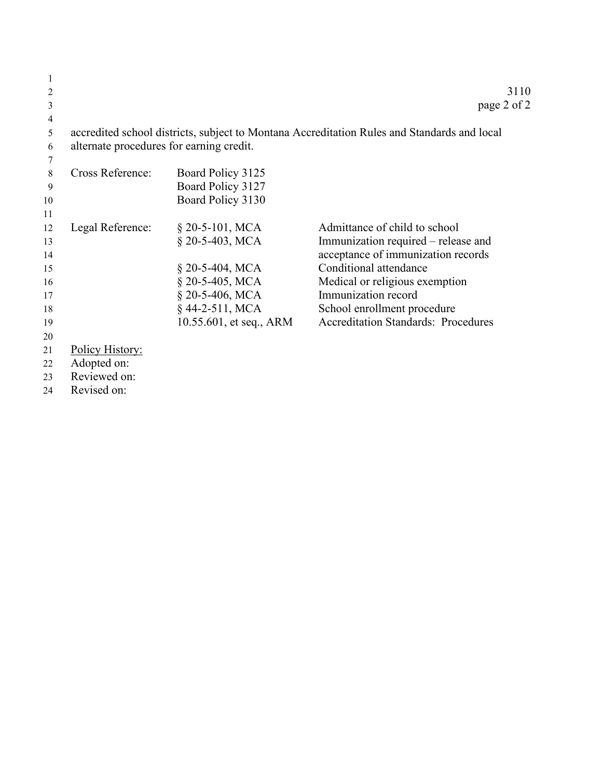| 3      |                                                        |                         | page 2 of 2                                                                                 |
|--------|--------------------------------------------------------|-------------------------|---------------------------------------------------------------------------------------------|
| 4      |                                                        |                         |                                                                                             |
| 5      |                                                        |                         | accredited school districts, subject to Montana Accreditation Rules and Standards and local |
| 6      | alternate procedures for earning credit.               |                         |                                                                                             |
|        |                                                        |                         |                                                                                             |
| 8      | Cross Reference:                                       | Board Policy 3125       |                                                                                             |
| 9      |                                                        | Board Policy 3127       |                                                                                             |
| 10     |                                                        | Board Policy 3130       |                                                                                             |
| 11     |                                                        |                         |                                                                                             |
| 12     | Legal Reference:                                       | $\S$ 20-5-101, MCA      | Admittance of child to school                                                               |
| 13     |                                                        | $$20-5-403, MCA$        | Immunization required – release and                                                         |
| 14     |                                                        |                         | acceptance of immunization records                                                          |
| 15     |                                                        | § 20-5-404, MCA         | Conditional attendance                                                                      |
| 16     |                                                        | $$20-5-405$ , MCA       | Medical or religious exemption                                                              |
| 17     |                                                        | $$20-5-406, MCA$        | Immunization record                                                                         |
| 18     |                                                        | $§$ 44-2-511, MCA       | School enrollment procedure                                                                 |
| 19     |                                                        | 10.55.601, et seq., ARM | <b>Accreditation Standards: Procedures</b>                                                  |
| 20     |                                                        |                         |                                                                                             |
| 21     | <b>Policy History:</b>                                 |                         |                                                                                             |
| 22     | Adopted on:                                            |                         |                                                                                             |
| $\sim$ | $\mathbf{D}$ and account $\mathbf{J}$ and $\mathbf{L}$ |                         |                                                                                             |

Reviewed on:

Revised on:

 $\frac{1}{2}$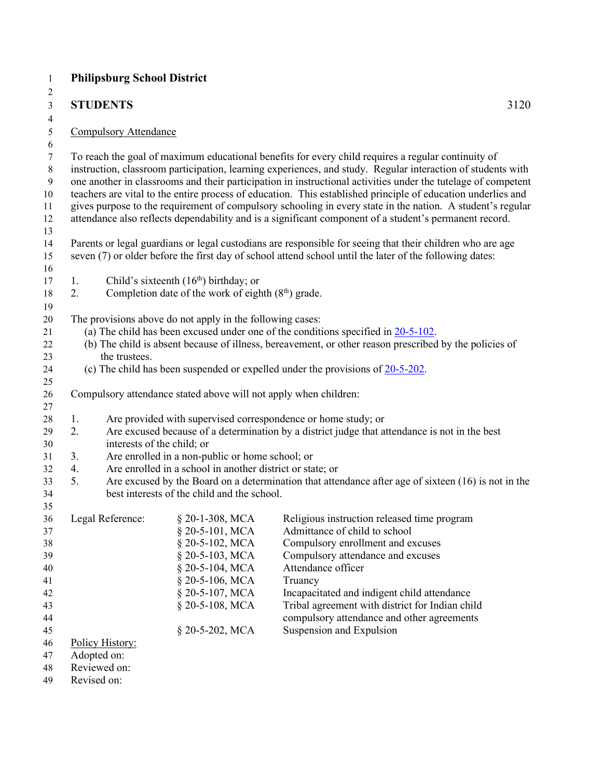| <b>STUDENTS</b>                                               |                                                                                                                                   | 3120                                                                                                                                                                                                                                                                                                                                                                                                                                                                                                                                                                                                                                                                       |
|---------------------------------------------------------------|-----------------------------------------------------------------------------------------------------------------------------------|----------------------------------------------------------------------------------------------------------------------------------------------------------------------------------------------------------------------------------------------------------------------------------------------------------------------------------------------------------------------------------------------------------------------------------------------------------------------------------------------------------------------------------------------------------------------------------------------------------------------------------------------------------------------------|
|                                                               |                                                                                                                                   |                                                                                                                                                                                                                                                                                                                                                                                                                                                                                                                                                                                                                                                                            |
| <b>Compulsory Attendance</b>                                  |                                                                                                                                   |                                                                                                                                                                                                                                                                                                                                                                                                                                                                                                                                                                                                                                                                            |
|                                                               |                                                                                                                                   | To reach the goal of maximum educational benefits for every child requires a regular continuity of<br>instruction, classroom participation, learning experiences, and study. Regular interaction of students with<br>one another in classrooms and their participation in instructional activities under the tutelage of competent<br>teachers are vital to the entire process of education. This established principle of education underlies and<br>gives purpose to the requirement of compulsory schooling in every state in the nation. A student's regular<br>attendance also reflects dependability and is a significant component of a student's permanent record. |
|                                                               |                                                                                                                                   | Parents or legal guardians or legal custodians are responsible for seeing that their children who are age<br>seven (7) or older before the first day of school attend school until the later of the following dates:                                                                                                                                                                                                                                                                                                                                                                                                                                                       |
| 1.<br>2.                                                      | Child's sixteenth $(16th)$ birthday; or<br>Completion date of the work of eighth $(8th)$ grade.                                   |                                                                                                                                                                                                                                                                                                                                                                                                                                                                                                                                                                                                                                                                            |
| the trustees.                                                 | The provisions above do not apply in the following cases:                                                                         | (a) The child has been excused under one of the conditions specified in $20-5-102$ .<br>(b) The child is absent because of illness, bereavement, or other reason prescribed by the policies of<br>(c) The child has been suspended or expelled under the provisions of $20-5-202$ .                                                                                                                                                                                                                                                                                                                                                                                        |
|                                                               | Compulsory attendance stated above will not apply when children:                                                                  |                                                                                                                                                                                                                                                                                                                                                                                                                                                                                                                                                                                                                                                                            |
| 1.<br>2.<br>interests of the child; or                        |                                                                                                                                   | Are provided with supervised correspondence or home study; or<br>Are excused because of a determination by a district judge that attendance is not in the best                                                                                                                                                                                                                                                                                                                                                                                                                                                                                                             |
| 3.                                                            | Are enrolled in a non-public or home school; or                                                                                   |                                                                                                                                                                                                                                                                                                                                                                                                                                                                                                                                                                                                                                                                            |
| 4.                                                            | Are enrolled in a school in another district or state; or                                                                         |                                                                                                                                                                                                                                                                                                                                                                                                                                                                                                                                                                                                                                                                            |
| 5.                                                            | best interests of the child and the school.                                                                                       | Are excused by the Board on a determination that attendance after age of sixteen $(16)$ is not in the                                                                                                                                                                                                                                                                                                                                                                                                                                                                                                                                                                      |
| Legal Reference:                                              | § 20-1-308, MCA<br>§ 20-5-101, MCA<br>§ 20-5-102, MCA<br>§ 20-5-103, MCA<br>§ 20-5-104, MCA<br>§ 20-5-106, MCA<br>§ 20-5-107, MCA | Religious instruction released time program<br>Admittance of child to school<br>Compulsory enrollment and excuses<br>Compulsory attendance and excuses<br>Attendance officer<br>Truancy<br>Incapacitated and indigent child attendance                                                                                                                                                                                                                                                                                                                                                                                                                                     |
|                                                               | § 20-5-108, MCA                                                                                                                   | Tribal agreement with district for Indian child<br>compulsory attendance and other agreements                                                                                                                                                                                                                                                                                                                                                                                                                                                                                                                                                                              |
| Policy History:<br>Adopted on:<br>Reviewed on:<br>Revised on: | § 20-5-202, MCA                                                                                                                   | Suspension and Expulsion                                                                                                                                                                                                                                                                                                                                                                                                                                                                                                                                                                                                                                                   |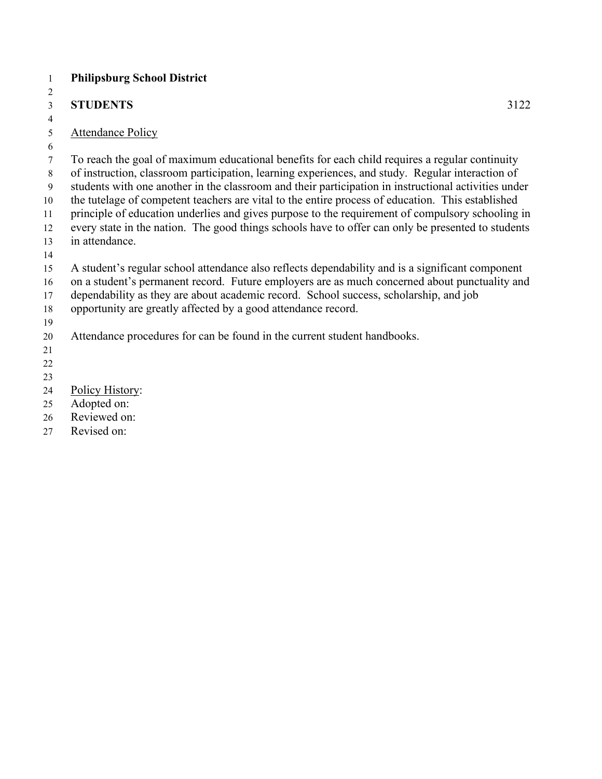# **STUDENTS** 3122

## Attendance Policy

To reach the goal of maximum educational benefits for each child requires a regular continuity

of instruction, classroom participation, learning experiences, and study. Regular interaction of

students with one another in the classroom and their participation in instructional activities under

 the tutelage of competent teachers are vital to the entire process of education. This established principle of education underlies and gives purpose to the requirement of compulsory schooling in

every state in the nation. The good things schools have to offer can only be presented to students

- in attendance.
- 

A student's regular school attendance also reflects dependability and is a significant component

on a student's permanent record. Future employers are as much concerned about punctuality and

dependability as they are about academic record. School success, scholarship, and job

- opportunity are greatly affected by a good attendance record.
- Attendance procedures for can be found in the current student handbooks.
- 

- 
- 
- Policy History:
- Adopted on:
- Reviewed on:
- Revised on: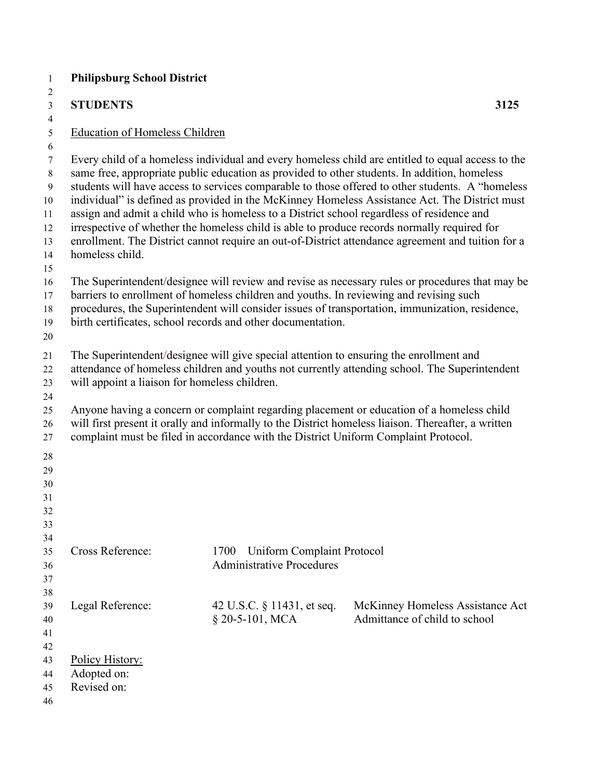| $\mathbf{1}$                                                        | <b>Philipsburg School District</b>                                                                                                                                                                                                       |                                                                                        |                                                                                                                                                                                                                                                                                                                                                                                                                                                                                                                                                                                                                                                                                                                                                                                                            |  |  |  |
|---------------------------------------------------------------------|------------------------------------------------------------------------------------------------------------------------------------------------------------------------------------------------------------------------------------------|----------------------------------------------------------------------------------------|------------------------------------------------------------------------------------------------------------------------------------------------------------------------------------------------------------------------------------------------------------------------------------------------------------------------------------------------------------------------------------------------------------------------------------------------------------------------------------------------------------------------------------------------------------------------------------------------------------------------------------------------------------------------------------------------------------------------------------------------------------------------------------------------------------|--|--|--|
| 2<br>3<br>$\overline{4}$                                            | <b>STUDENTS</b>                                                                                                                                                                                                                          |                                                                                        | 3125                                                                                                                                                                                                                                                                                                                                                                                                                                                                                                                                                                                                                                                                                                                                                                                                       |  |  |  |
| 5<br>6                                                              | <b>Education of Homeless Children</b>                                                                                                                                                                                                    |                                                                                        |                                                                                                                                                                                                                                                                                                                                                                                                                                                                                                                                                                                                                                                                                                                                                                                                            |  |  |  |
| 7<br>$\,$ $\,$<br>9<br>10<br>11<br>12<br>13<br>14<br>15<br>16<br>17 | homeless child.                                                                                                                                                                                                                          | barriers to enrollment of homeless children and youths. In reviewing and revising such | Every child of a homeless individual and every homeless child are entitled to equal access to the<br>same free, appropriate public education as provided to other students. In addition, homeless<br>students will have access to services comparable to those offered to other students. A "homeless<br>individual" is defined as provided in the McKinney Homeless Assistance Act. The District must<br>assign and admit a child who is homeless to a District school regardless of residence and<br>irrespective of whether the homeless child is able to produce records normally required for<br>enrollment. The District cannot require an out-of-District attendance agreement and tuition for a<br>The Superintendent/designee will review and revise as necessary rules or procedures that may be |  |  |  |
| 18<br>19<br>20                                                      | birth certificates, school records and other documentation.                                                                                                                                                                              |                                                                                        | procedures, the Superintendent will consider issues of transportation, immunization, residence,                                                                                                                                                                                                                                                                                                                                                                                                                                                                                                                                                                                                                                                                                                            |  |  |  |
| 21<br>22<br>23<br>24                                                | The Superintendent/designee will give special attention to ensuring the enrollment and<br>attendance of homeless children and youths not currently attending school. The Superintendent<br>will appoint a liaison for homeless children. |                                                                                        |                                                                                                                                                                                                                                                                                                                                                                                                                                                                                                                                                                                                                                                                                                                                                                                                            |  |  |  |
| $25\,$<br>26<br>27<br>28<br>29<br>30<br>31<br>32<br>33<br>34        |                                                                                                                                                                                                                                          | complaint must be filed in accordance with the District Uniform Complaint Protocol.    | Anyone having a concern or complaint regarding placement or education of a homeless child<br>will first present it orally and informally to the District homeless liaison. Thereafter, a written                                                                                                                                                                                                                                                                                                                                                                                                                                                                                                                                                                                                           |  |  |  |
| 35<br>36<br>37<br>38                                                | Cross Reference:                                                                                                                                                                                                                         | 1700<br>Uniform Complaint Protocol<br><b>Administrative Procedures</b>                 |                                                                                                                                                                                                                                                                                                                                                                                                                                                                                                                                                                                                                                                                                                                                                                                                            |  |  |  |
| 39<br>40<br>41<br>42                                                | Legal Reference:                                                                                                                                                                                                                         | 42 U.S.C. § 11431, et seq.<br>$§$ 20-5-101, MCA                                        | McKinney Homeless Assistance Act<br>Admittance of child to school                                                                                                                                                                                                                                                                                                                                                                                                                                                                                                                                                                                                                                                                                                                                          |  |  |  |
| 43<br>44<br>45<br>46                                                | Policy History:<br>Adopted on:<br>Revised on:                                                                                                                                                                                            |                                                                                        |                                                                                                                                                                                                                                                                                                                                                                                                                                                                                                                                                                                                                                                                                                                                                                                                            |  |  |  |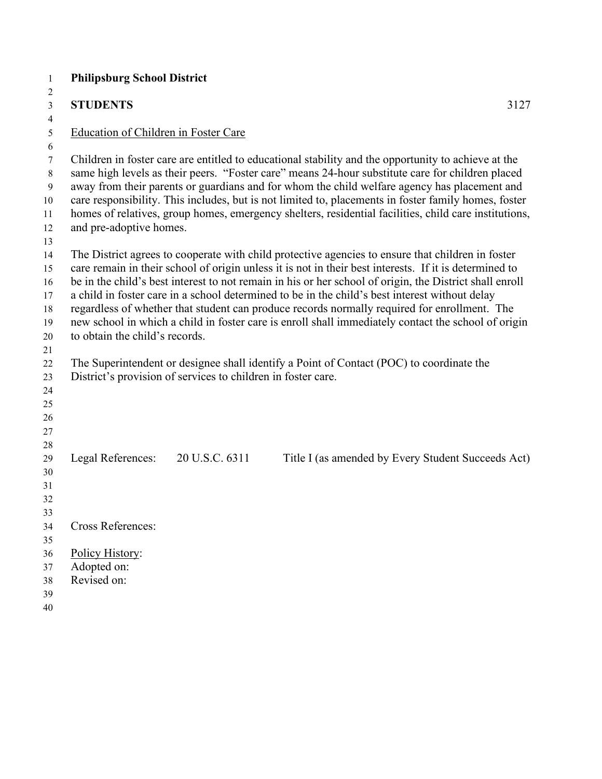| <b>Philipsburg School District</b>            |                                                              |                                                                                                                                                                                                                                                                                                                                                                                                                                                                                                                                                                                                                                 |
|-----------------------------------------------|--------------------------------------------------------------|---------------------------------------------------------------------------------------------------------------------------------------------------------------------------------------------------------------------------------------------------------------------------------------------------------------------------------------------------------------------------------------------------------------------------------------------------------------------------------------------------------------------------------------------------------------------------------------------------------------------------------|
| <b>STUDENTS</b>                               |                                                              | 3127                                                                                                                                                                                                                                                                                                                                                                                                                                                                                                                                                                                                                            |
| Education of Children in Foster Care          |                                                              |                                                                                                                                                                                                                                                                                                                                                                                                                                                                                                                                                                                                                                 |
| and pre-adoptive homes.                       |                                                              | Children in foster care are entitled to educational stability and the opportunity to achieve at the<br>same high levels as their peers. "Foster care" means 24-hour substitute care for children placed<br>away from their parents or guardians and for whom the child welfare agency has placement and<br>care responsibility. This includes, but is not limited to, placements in foster family homes, foster<br>homes of relatives, group homes, emergency shelters, residential facilities, child care institutions,                                                                                                        |
| to obtain the child's records.                |                                                              | The District agrees to cooperate with child protective agencies to ensure that children in foster<br>care remain in their school of origin unless it is not in their best interests. If it is determined to<br>be in the child's best interest to not remain in his or her school of origin, the District shall enroll<br>a child in foster care in a school determined to be in the child's best interest without delay<br>regardless of whether that student can produce records normally required for enrollment. The<br>new school in which a child in foster care is enroll shall immediately contact the school of origin |
|                                               | District's provision of services to children in foster care. | The Superintendent or designee shall identify a Point of Contact (POC) to coordinate the                                                                                                                                                                                                                                                                                                                                                                                                                                                                                                                                        |
| Legal References:                             | 20 U.S.C. 6311                                               | Title I (as amended by Every Student Succeeds Act)                                                                                                                                                                                                                                                                                                                                                                                                                                                                                                                                                                              |
| <b>Cross References:</b>                      |                                                              |                                                                                                                                                                                                                                                                                                                                                                                                                                                                                                                                                                                                                                 |
| Policy History:<br>Adopted on:<br>Revised on: |                                                              |                                                                                                                                                                                                                                                                                                                                                                                                                                                                                                                                                                                                                                 |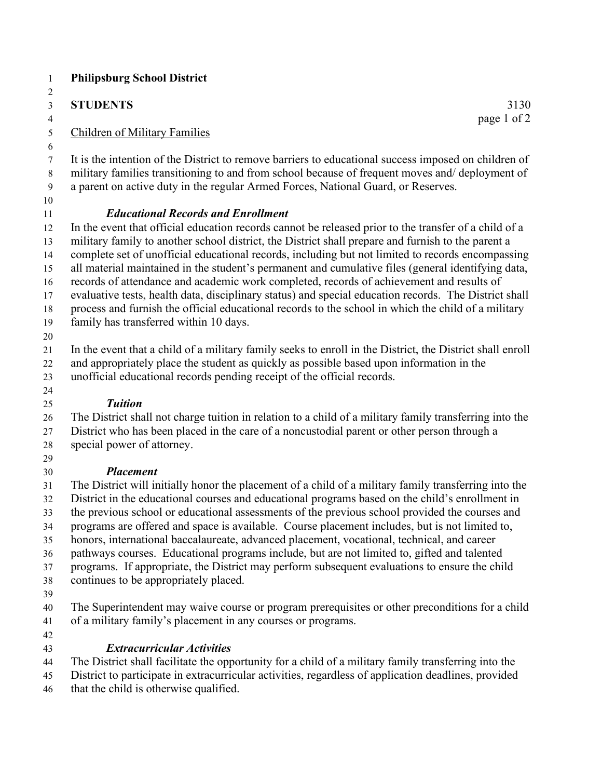## **STUDENTS** 3130

page 1 of 2

## Children of Military Families

 It is the intention of the District to remove barriers to educational success imposed on children of military families transitioning to and from school because of frequent moves and/ deployment of a parent on active duty in the regular Armed Forces, National Guard, or Reserves.

## *Educational Records and Enrollment*

 In the event that official education records cannot be released prior to the transfer of a child of a military family to another school district, the District shall prepare and furnish to the parent a complete set of unofficial educational records, including but not limited to records encompassing all material maintained in the student's permanent and cumulative files (general identifying data, records of attendance and academic work completed, records of achievement and results of evaluative tests, health data, disciplinary status) and special education records. The District shall process and furnish the official educational records to the school in which the child of a military

- family has transferred within 10 days.
- 

In the event that a child of a military family seeks to enroll in the District, the District shall enroll

 and appropriately place the student as quickly as possible based upon information in the unofficial educational records pending receipt of the official records.

#### *Tuition*

 The District shall not charge tuition in relation to a child of a military family transferring into the District who has been placed in the care of a noncustodial parent or other person through a

- special power of attorney.
- 

## *Placement*

 The District will initially honor the placement of a child of a military family transferring into the District in the educational courses and educational programs based on the child's enrollment in the previous school or educational assessments of the previous school provided the courses and

programs are offered and space is available. Course placement includes, but is not limited to,

honors, international baccalaureate, advanced placement, vocational, technical, and career

pathways courses. Educational programs include, but are not limited to, gifted and talented

programs. If appropriate, the District may perform subsequent evaluations to ensure the child

- continues to be appropriately placed.
- 

 The Superintendent may waive course or program prerequisites or other preconditions for a child of a military family's placement in any courses or programs.

## *Extracurricular Activities*

The District shall facilitate the opportunity for a child of a military family transferring into the

 District to participate in extracurricular activities, regardless of application deadlines, provided that the child is otherwise qualified.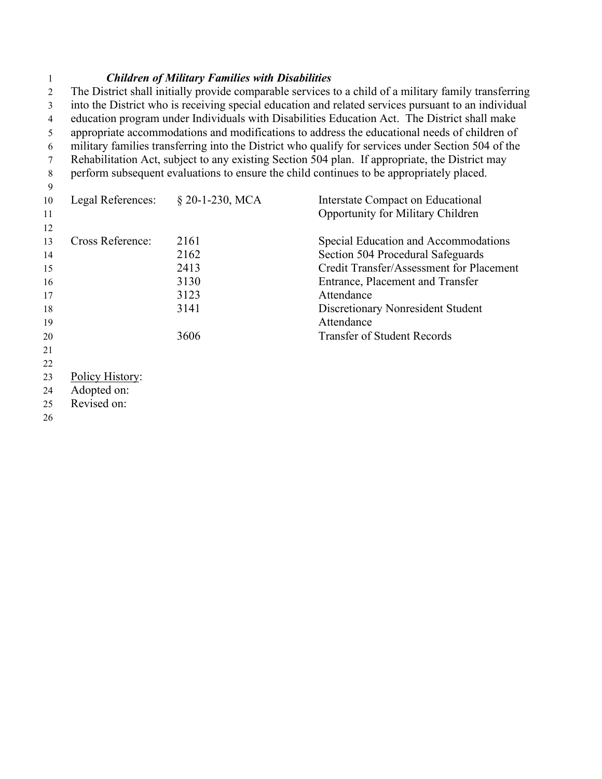#### *Children of Military Families with Disabilities*

 The District shall initially provide comparable services to a child of a military family transferring into the District who is receiving special education and related services pursuant to an individual education program under Individuals with Disabilities Education Act. The District shall make appropriate accommodations and modifications to address the educational needs of children of military families transferring into the District who qualify for services under Section 504 of the Rehabilitation Act, subject to any existing Section 504 plan. If appropriate, the District may perform subsequent evaluations to ensure the child continues to be appropriately placed. Legal References: § 20-1-230, MCA Interstate Compact on Educational 11 Opportunity for Military Children 

| 13 | <b>Cross Reference:</b> | 2161 | Special Education and Accommodations     |
|----|-------------------------|------|------------------------------------------|
| 14 |                         | 2162 | Section 504 Procedural Safeguards        |
| 15 |                         | 2413 | Credit Transfer/Assessment for Placement |
| 16 |                         | 3130 | Entrance, Placement and Transfer         |
| 17 |                         | 3123 | Attendance                               |
| 18 |                         | 3141 | Discretionary Nonresident Student        |
| 19 |                         |      | Attendance                               |
| 20 |                         | 3606 | <b>Transfer of Student Records</b>       |
| 21 |                         |      |                                          |
|    |                         |      |                                          |

- 
- Policy History:
- Adopted on:
- Revised on:
-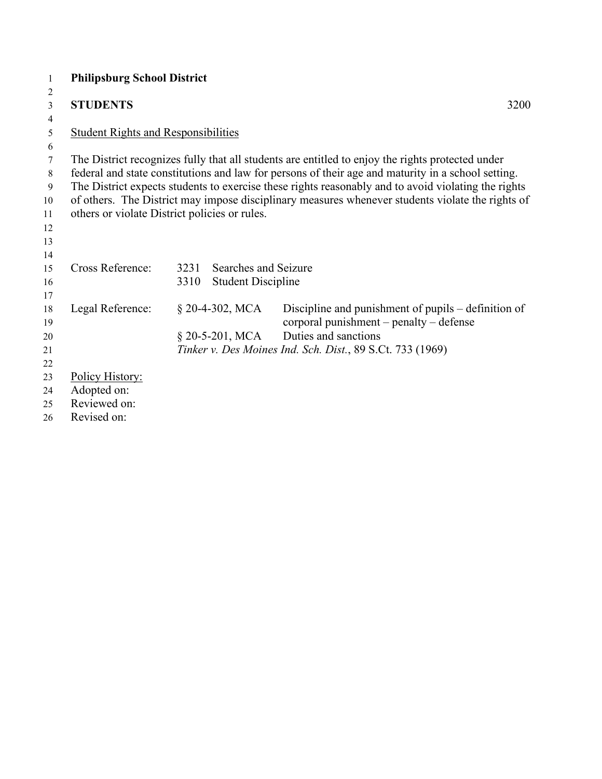| 1              | <b>Philipsburg School District</b>         |                                               |                                                                                                     |      |
|----------------|--------------------------------------------|-----------------------------------------------|-----------------------------------------------------------------------------------------------------|------|
| $\overline{2}$ |                                            |                                               |                                                                                                     |      |
| 3              | <b>STUDENTS</b>                            |                                               |                                                                                                     | 3200 |
| $\overline{4}$ |                                            |                                               |                                                                                                     |      |
| 5              | <b>Student Rights and Responsibilities</b> |                                               |                                                                                                     |      |
| 6              |                                            |                                               |                                                                                                     |      |
| 7              |                                            |                                               | The District recognizes fully that all students are entitled to enjoy the rights protected under    |      |
| 8              |                                            |                                               | federal and state constitutions and law for persons of their age and maturity in a school setting.  |      |
| 9              |                                            |                                               | The District expects students to exercise these rights reasonably and to avoid violating the rights |      |
| 10             |                                            |                                               | of others. The District may impose disciplinary measures whenever students violate the rights of    |      |
| 11             |                                            | others or violate District policies or rules. |                                                                                                     |      |
| 12             |                                            |                                               |                                                                                                     |      |
| 13             |                                            |                                               |                                                                                                     |      |
| 14<br>15       | Cross Reference:                           | 3231<br>Searches and Seizure                  |                                                                                                     |      |
| 16             |                                            | <b>Student Discipline</b><br>3310             |                                                                                                     |      |
| 17             |                                            |                                               |                                                                                                     |      |
| 18             | Legal Reference:                           | $§$ 20-4-302, MCA                             | Discipline and punishment of pupils – definition of                                                 |      |
| 19             |                                            |                                               | corporal punishment – penalty – defense                                                             |      |
| 20             |                                            | $\S$ 20-5-201, MCA                            | Duties and sanctions                                                                                |      |
| 21             |                                            |                                               | Tinker v. Des Moines Ind. Sch. Dist., 89 S.Ct. 733 (1969)                                           |      |
| 22             |                                            |                                               |                                                                                                     |      |
| 23             | Policy History:                            |                                               |                                                                                                     |      |
| 24             | Adopted on:                                |                                               |                                                                                                     |      |
| 25             | Reviewed on:                               |                                               |                                                                                                     |      |
| 26             | Revised on:                                |                                               |                                                                                                     |      |
|                |                                            |                                               |                                                                                                     |      |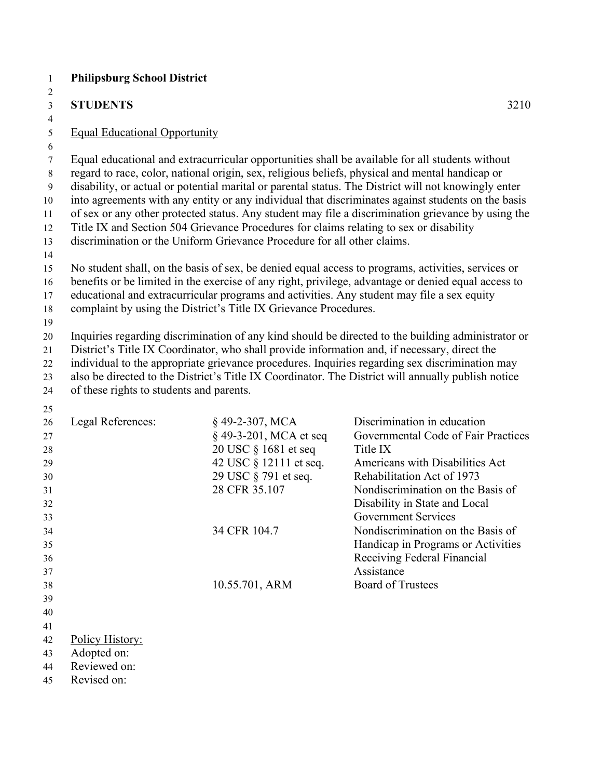| <b>STUDENTS</b>                          |                                                                                                                                                                       | 3210                                                                                                                                                                                                                                                                                                                                                                                                                                                                                                                                                                                                                                                                                                                                                                                                                              |
|------------------------------------------|-----------------------------------------------------------------------------------------------------------------------------------------------------------------------|-----------------------------------------------------------------------------------------------------------------------------------------------------------------------------------------------------------------------------------------------------------------------------------------------------------------------------------------------------------------------------------------------------------------------------------------------------------------------------------------------------------------------------------------------------------------------------------------------------------------------------------------------------------------------------------------------------------------------------------------------------------------------------------------------------------------------------------|
| <b>Equal Educational Opportunity</b>     |                                                                                                                                                                       |                                                                                                                                                                                                                                                                                                                                                                                                                                                                                                                                                                                                                                                                                                                                                                                                                                   |
|                                          | Title IX and Section 504 Grievance Procedures for claims relating to sex or disability<br>discrimination or the Uniform Grievance Procedure for all other claims.     | Equal educational and extracurricular opportunities shall be available for all students without<br>regard to race, color, national origin, sex, religious beliefs, physical and mental handicap or<br>disability, or actual or potential marital or parental status. The District will not knowingly enter<br>into agreements with any entity or any individual that discriminates against students on the basis<br>of sex or any other protected status. Any student may file a discrimination grievance by using the<br>No student shall, on the basis of sex, be denied equal access to programs, activities, services or<br>benefits or be limited in the exercise of any right, privilege, advantage or denied equal access to<br>educational and extracurricular programs and activities. Any student may file a sex equity |
|                                          | complaint by using the District's Title IX Grievance Procedures.                                                                                                      |                                                                                                                                                                                                                                                                                                                                                                                                                                                                                                                                                                                                                                                                                                                                                                                                                                   |
| of these rights to students and parents. |                                                                                                                                                                       | Inquiries regarding discrimination of any kind should be directed to the building administrator or<br>District's Title IX Coordinator, who shall provide information and, if necessary, direct the<br>individual to the appropriate grievance procedures. Inquiries regarding sex discrimination may<br>also be directed to the District's Title IX Coordinator. The District will annually publish notice                                                                                                                                                                                                                                                                                                                                                                                                                        |
| Legal References:                        | §49-2-307, MCA<br>§ 49-3-201, MCA et seq<br>20 USC § 1681 et seq<br>42 USC § 12111 et seq.<br>29 USC § 791 et seq.<br>28 CFR 35.107<br>34 CFR 104.7<br>10.55.701, ARM | Discrimination in education<br>Governmental Code of Fair Practices<br>Title IX<br>Americans with Disabilities Act<br>Rehabilitation Act of 1973<br>Nondiscrimination on the Basis of<br>Disability in State and Local<br><b>Government Services</b><br>Nondiscrimination on the Basis of<br>Handicap in Programs or Activities<br>Receiving Federal Financial<br>Assistance<br><b>Board of Trustees</b>                                                                                                                                                                                                                                                                                                                                                                                                                           |
| Policy History:                          |                                                                                                                                                                       |                                                                                                                                                                                                                                                                                                                                                                                                                                                                                                                                                                                                                                                                                                                                                                                                                                   |
| Adopted on:                              |                                                                                                                                                                       |                                                                                                                                                                                                                                                                                                                                                                                                                                                                                                                                                                                                                                                                                                                                                                                                                                   |
| Reviewed on:                             |                                                                                                                                                                       |                                                                                                                                                                                                                                                                                                                                                                                                                                                                                                                                                                                                                                                                                                                                                                                                                                   |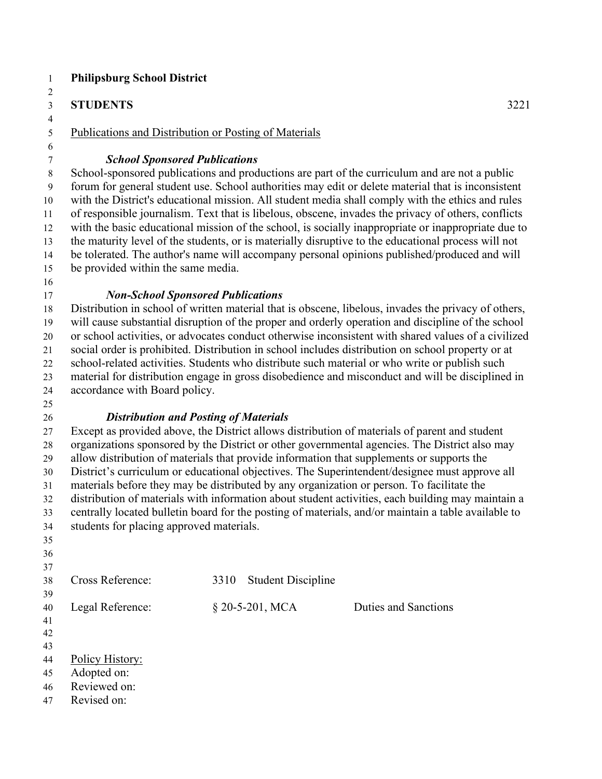| 1                                | <b>Philipsburg School District</b>                                                                                                                                                         |      |                           |                                                                                                                                                                                                         |  |
|----------------------------------|--------------------------------------------------------------------------------------------------------------------------------------------------------------------------------------------|------|---------------------------|---------------------------------------------------------------------------------------------------------------------------------------------------------------------------------------------------------|--|
| $\overline{c}$<br>$\overline{3}$ | <b>STUDENTS</b>                                                                                                                                                                            |      |                           | 3221                                                                                                                                                                                                    |  |
| $\overline{4}$                   |                                                                                                                                                                                            |      |                           |                                                                                                                                                                                                         |  |
| $\mathfrak s$                    | Publications and Distribution or Posting of Materials                                                                                                                                      |      |                           |                                                                                                                                                                                                         |  |
| 6<br>7                           | <b>School Sponsored Publications</b>                                                                                                                                                       |      |                           |                                                                                                                                                                                                         |  |
| $\,8\,$                          |                                                                                                                                                                                            |      |                           | School-sponsored publications and productions are part of the curriculum and are not a public                                                                                                           |  |
| 9<br>10                          |                                                                                                                                                                                            |      |                           | forum for general student use. School authorities may edit or delete material that is inconsistent<br>with the District's educational mission. All student media shall comply with the ethics and rules |  |
| 11                               |                                                                                                                                                                                            |      |                           | of responsible journalism. Text that is libelous, obscene, invades the privacy of others, conflicts                                                                                                     |  |
| 12                               |                                                                                                                                                                                            |      |                           | with the basic educational mission of the school, is socially inappropriate or inappropriate due to                                                                                                     |  |
| 13<br>14                         |                                                                                                                                                                                            |      |                           | the maturity level of the students, or is materially disruptive to the educational process will not<br>be tolerated. The author's name will accompany personal opinions published/produced and will     |  |
| 15                               | be provided within the same media.                                                                                                                                                         |      |                           |                                                                                                                                                                                                         |  |
| 16                               |                                                                                                                                                                                            |      |                           |                                                                                                                                                                                                         |  |
| 17<br>18                         | <b>Non-School Sponsored Publications</b>                                                                                                                                                   |      |                           | Distribution in school of written material that is obscene, libelous, invades the privacy of others,                                                                                                    |  |
| 19                               |                                                                                                                                                                                            |      |                           | will cause substantial disruption of the proper and orderly operation and discipline of the school                                                                                                      |  |
| 20                               |                                                                                                                                                                                            |      |                           | or school activities, or advocates conduct otherwise inconsistent with shared values of a civilized                                                                                                     |  |
| 21                               |                                                                                                                                                                                            |      |                           | social order is prohibited. Distribution in school includes distribution on school property or at                                                                                                       |  |
| 22                               |                                                                                                                                                                                            |      |                           | school-related activities. Students who distribute such material or who write or publish such                                                                                                           |  |
| 23                               | material for distribution engage in gross disobedience and misconduct and will be disciplined in                                                                                           |      |                           |                                                                                                                                                                                                         |  |
| 24                               | accordance with Board policy.                                                                                                                                                              |      |                           |                                                                                                                                                                                                         |  |
| 25                               |                                                                                                                                                                                            |      |                           |                                                                                                                                                                                                         |  |
| 26                               | <b>Distribution and Posting of Materials</b>                                                                                                                                               |      |                           |                                                                                                                                                                                                         |  |
| 27                               | Except as provided above, the District allows distribution of materials of parent and student                                                                                              |      |                           |                                                                                                                                                                                                         |  |
| 28<br>29                         | organizations sponsored by the District or other governmental agencies. The District also may<br>allow distribution of materials that provide information that supplements or supports the |      |                           |                                                                                                                                                                                                         |  |
| 30                               |                                                                                                                                                                                            |      |                           | District's curriculum or educational objectives. The Superintendent/designee must approve all                                                                                                           |  |
| 31                               |                                                                                                                                                                                            |      |                           | materials before they may be distributed by any organization or person. To facilitate the                                                                                                               |  |
| 32                               |                                                                                                                                                                                            |      |                           | distribution of materials with information about student activities, each building may maintain a                                                                                                       |  |
| 33                               |                                                                                                                                                                                            |      |                           | centrally located bulletin board for the posting of materials, and/or maintain a table available to                                                                                                     |  |
| 34                               | students for placing approved materials.                                                                                                                                                   |      |                           |                                                                                                                                                                                                         |  |
| 35                               |                                                                                                                                                                                            |      |                           |                                                                                                                                                                                                         |  |
| 36                               |                                                                                                                                                                                            |      |                           |                                                                                                                                                                                                         |  |
| 37                               |                                                                                                                                                                                            |      |                           |                                                                                                                                                                                                         |  |
| 38                               | Cross Reference:                                                                                                                                                                           | 3310 | <b>Student Discipline</b> |                                                                                                                                                                                                         |  |
| 39<br>40                         | Legal Reference:                                                                                                                                                                           |      | § 20-5-201, MCA           | <b>Duties and Sanctions</b>                                                                                                                                                                             |  |
| 41                               |                                                                                                                                                                                            |      |                           |                                                                                                                                                                                                         |  |
| 42                               |                                                                                                                                                                                            |      |                           |                                                                                                                                                                                                         |  |
| 43                               |                                                                                                                                                                                            |      |                           |                                                                                                                                                                                                         |  |
| 44                               | Policy History:                                                                                                                                                                            |      |                           |                                                                                                                                                                                                         |  |
| 45                               | Adopted on:                                                                                                                                                                                |      |                           |                                                                                                                                                                                                         |  |
| 46                               | Reviewed on:                                                                                                                                                                               |      |                           |                                                                                                                                                                                                         |  |
| 47                               | Revised on:                                                                                                                                                                                |      |                           |                                                                                                                                                                                                         |  |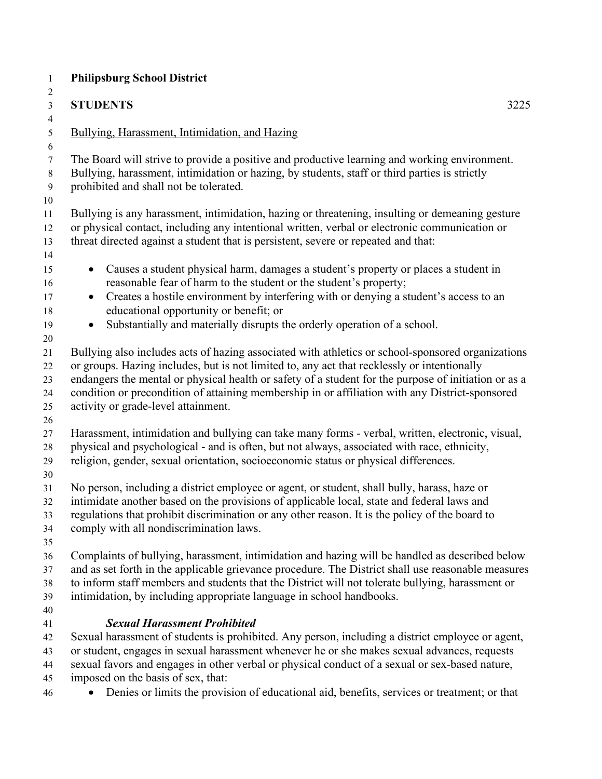| $\mathbf{1}$                                     | <b>Philipsburg School District</b>                                                                                                                                                                                                                                                                                                                                                                                                                 |
|--------------------------------------------------|----------------------------------------------------------------------------------------------------------------------------------------------------------------------------------------------------------------------------------------------------------------------------------------------------------------------------------------------------------------------------------------------------------------------------------------------------|
| 2                                                |                                                                                                                                                                                                                                                                                                                                                                                                                                                    |
| 3                                                | <b>STUDENTS</b><br>3225                                                                                                                                                                                                                                                                                                                                                                                                                            |
| 4<br>5                                           | Bullying, Harassment, Intimidation, and Hazing                                                                                                                                                                                                                                                                                                                                                                                                     |
| 6<br>$\tau$<br>$\,8\,$<br>$\boldsymbol{9}$<br>10 | The Board will strive to provide a positive and productive learning and working environment.<br>Bullying, harassment, intimidation or hazing, by students, staff or third parties is strictly<br>prohibited and shall not be tolerated.                                                                                                                                                                                                            |
| 11<br>12<br>13<br>14                             | Bullying is any harassment, intimidation, hazing or threatening, insulting or demeaning gesture<br>or physical contact, including any intentional written, verbal or electronic communication or<br>threat directed against a student that is persistent, severe or repeated and that:                                                                                                                                                             |
| 15<br>16<br>17<br>18                             | Causes a student physical harm, damages a student's property or places a student in<br>$\bullet$<br>reasonable fear of harm to the student or the student's property;<br>Creates a hostile environment by interfering with or denying a student's access to an<br>$\bullet$<br>educational opportunity or benefit; or                                                                                                                              |
| 19                                               | Substantially and materially disrupts the orderly operation of a school.<br>$\bullet$                                                                                                                                                                                                                                                                                                                                                              |
| 20<br>21<br>22<br>23<br>24<br>25<br>26           | Bullying also includes acts of hazing associated with athletics or school-sponsored organizations<br>or groups. Hazing includes, but is not limited to, any act that recklessly or intentionally<br>endangers the mental or physical health or safety of a student for the purpose of initiation or as a<br>condition or precondition of attaining membership in or affiliation with any District-sponsored<br>activity or grade-level attainment. |
| 27<br>28<br>29<br>30                             | Harassment, intimidation and bullying can take many forms - verbal, written, electronic, visual,<br>physical and psychological - and is often, but not always, associated with race, ethnicity,<br>religion, gender, sexual orientation, socioeconomic status or physical differences.                                                                                                                                                             |
| 31<br>32<br>33<br>34<br>35                       | No person, including a district employee or agent, or student, shall bully, harass, haze or<br>intimidate another based on the provisions of applicable local, state and federal laws and<br>regulations that prohibit discrimination or any other reason. It is the policy of the board to<br>comply with all nondiscrimination laws.                                                                                                             |
| 36<br>37<br>38<br>39<br>40                       | Complaints of bullying, harassment, intimidation and hazing will be handled as described below<br>and as set forth in the applicable grievance procedure. The District shall use reasonable measures<br>to inform staff members and students that the District will not tolerate bullying, harassment or<br>intimidation, by including appropriate language in school handbooks.                                                                   |
| 41<br>42<br>43<br>44<br>45                       | <b>Sexual Harassment Prohibited</b><br>Sexual harassment of students is prohibited. Any person, including a district employee or agent,<br>or student, engages in sexual harassment whenever he or she makes sexual advances, requests<br>sexual favors and engages in other verbal or physical conduct of a sexual or sex-based nature,<br>imposed on the basis of sex, that:                                                                     |
| 46                                               | Denies or limits the provision of educational aid, benefits, services or treatment; or that                                                                                                                                                                                                                                                                                                                                                        |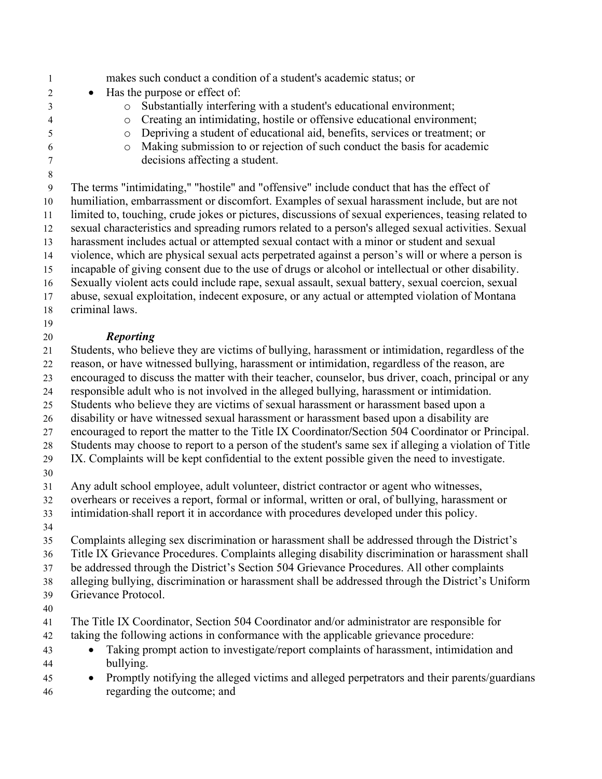1 makes such conduct a condition of a student's academic status; or • Has the purpose or effect of: 3 o Substantially interfering with a student's educational environment;<br>3 o Creating an intimidating, hostile or offensive educational environment  $\circ$  Creating an intimidating, hostile or offensive educational environment; o Depriving a student of educational aid, benefits, services or treatment; or o Making submission to or rejection of such conduct the basis for academic decisions affecting a student. 9 The terms "intimidating," "hostile" and "offensive" include conduct that has the effect of humiliation, embarrassment or discomfort. Examples of sexual harassment include, but are not limited to, touching, crude jokes or pictures, discussions of sexual experiences, teasing related to sexual characteristics and spreading rumors related to a person's alleged sexual activities. Sexual harassment includes actual or attempted sexual contact with a minor or student and sexual violence, which are physical sexual acts perpetrated against a person's will or where a person is incapable of giving consent due to the use of drugs or alcohol or intellectual or other disability. Sexually violent acts could include rape, sexual assault, sexual battery, sexual coercion, sexual abuse, sexual exploitation, indecent exposure, or any actual or attempted violation of Montana criminal laws. *Reporting*  Students, who believe they are victims of bullying, harassment or intimidation, regardless of the reason, or have witnessed bullying, harassment or intimidation, regardless of the reason, are encouraged to discuss the matter with their teacher, counselor, bus driver, coach, principal or any responsible adult who is not involved in the alleged bullying, harassment or intimidation. Students who believe they are victims of sexual harassment or harassment based upon a disability or have witnessed sexual harassment or harassment based upon a disability are encouraged to report the matter to the Title IX Coordinator**/**Section 504 Coordinator or Principal. Students may choose to report to a person of the student's same sex if alleging a violation of Title IX. Complaints will be kept confidential to the extent possible given the need to investigate. Any adult school employee, adult volunteer, district contractor or agent who witnesses, overhears or receives a report, formal or informal, written or oral, of bullying, harassment or intimidation shall report it in accordance with procedures developed under this policy. Complaints alleging sex discrimination or harassment shall be addressed through the District's Title IX Grievance Procedures. Complaints alleging disability discrimination or harassment shall be addressed through the District's Section 504 Grievance Procedures. All other complaints alleging bullying, discrimination or harassment shall be addressed through the District's Uniform Grievance Protocol. The Title IX Coordinator, Section 504 Coordinator and/or administrator are responsible for taking the following actions in conformance with the applicable grievance procedure: • Taking prompt action to investigate/report complaints of harassment, intimidation and bullying. • Promptly notifying the alleged victims and alleged perpetrators and their parents/guardians regarding the outcome; and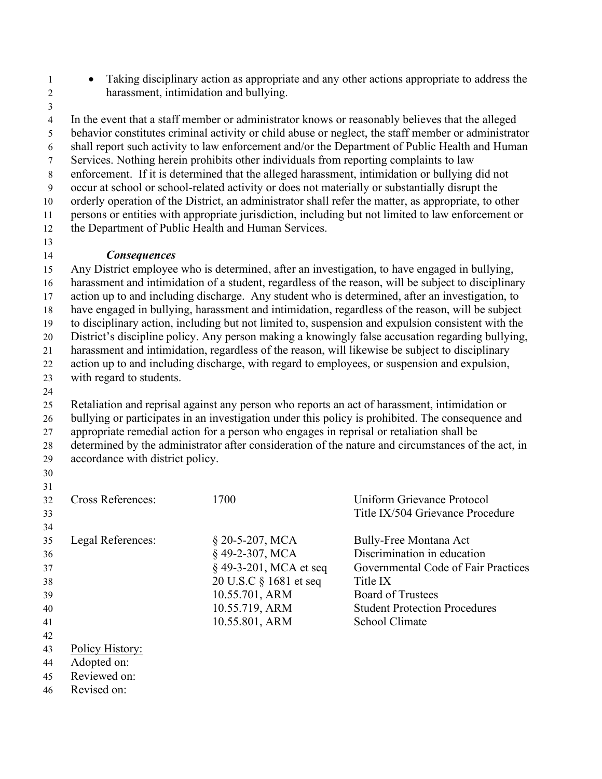- Taking disciplinary action as appropriate and any other actions appropriate to address the 2 harassment, intimidation and bullying.
- 

4 In the event that a staff member or administrator knows or reasonably believes that the alleged 5 behavior constitutes criminal activity or child abuse or neglect, the staff member or administrator 6 shall report such activity to law enforcement and/or the Department of Public Health and Human 7 Services. Nothing herein prohibits other individuals from reporting complaints to law 8 enforcement. If it is determined that the alleged harassment, intimidation or bullying did not 9 occur at school or school-related activity or does not materially or substantially disrupt the orderly operation of the District, an administrator shall refer the matter, as appropriate, to other persons or entities with appropriate jurisdiction, including but not limited to law enforcement or the Department of Public Health and Human Services.

#### *Consequences*

 Any District employee who is determined, after an investigation, to have engaged in bullying, harassment and intimidation of a student, regardless of the reason, will be subject to disciplinary action up to and including discharge. Any student who is determined, after an investigation, to have engaged in bullying, harassment and intimidation, regardless of the reason, will be subject to disciplinary action, including but not limited to, suspension and expulsion consistent with the District's discipline policy. Any person making a knowingly false accusation regarding bullying, harassment and intimidation, regardless of the reason, will likewise be subject to disciplinary action up to and including discharge, with regard to employees, or suspension and expulsion, with regard to students.

 Retaliation and reprisal against any person who reports an act of harassment, intimidation or bullying or participates in an investigation under this policy is prohibited. The consequence and appropriate remedial action for a person who engages in reprisal or retaliation shall be determined by the administrator after consideration of the nature and circumstances of the act, in accordance with district policy.

| 31             |                                     |                        |                                      |
|----------------|-------------------------------------|------------------------|--------------------------------------|
| 32             | <b>Cross References:</b>            | 1700                   | Uniform Grievance Protocol           |
| 33             |                                     |                        | Title IX/504 Grievance Procedure     |
| 34             |                                     |                        |                                      |
| 35             | Legal References:                   | $$20-5-207, MCA$       | Bully-Free Montana Act               |
| 36             |                                     | §49-2-307, MCA         | Discrimination in education          |
| 37             |                                     | § 49-3-201, MCA et seq | Governmental Code of Fair Practices  |
| 38             |                                     | 20 U.S.C § 1681 et seq | Title IX                             |
| 39             |                                     | 10.55.701, ARM         | <b>Board of Trustees</b>             |
| 40             |                                     | 10.55.719, ARM         | <b>Student Protection Procedures</b> |
| 41             |                                     | 10.55.801, ARM         | School Climate                       |
| 42             |                                     |                        |                                      |
| 43             | Policy History:                     |                        |                                      |
| $\overline{A}$ | $\lambda$ 1. $\lambda$ 1. $\lambda$ |                        |                                      |

- Adopted on:
- Reviewed on:
- Revised on: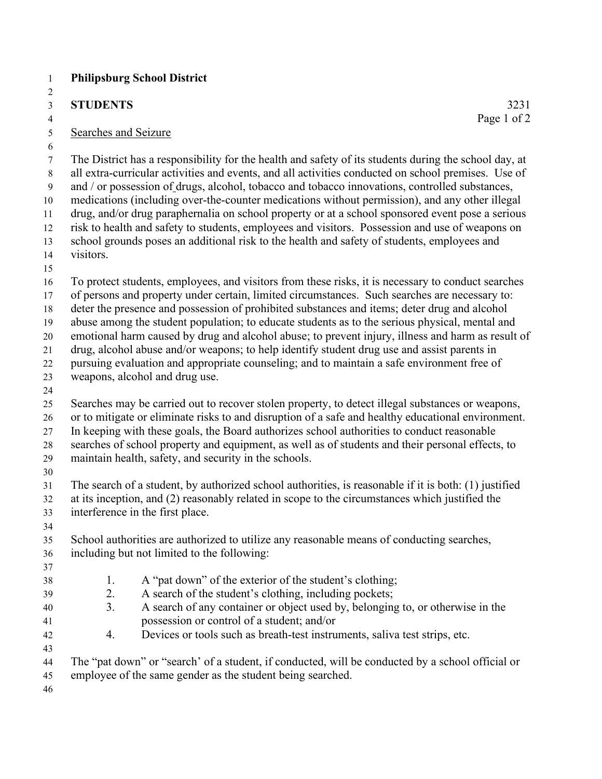#### **STUDENTS** 3231

#### 5 Searches and Seizure

7 The District has a responsibility for the health and safety of its students during the school day, at 8 all extra-curricular activities and events, and all activities conducted on school premises. Use of 9 and / or possession of drugs, alcohol, tobacco and tobacco innovations, controlled substances, medications (including over-the-counter medications without permission), and any other illegal drug, and/or drug paraphernalia on school property or at a school sponsored event pose a serious risk to health and safety to students, employees and visitors. Possession and use of weapons on school grounds poses an additional risk to the health and safety of students, employees and visitors. To protect students, employees, and visitors from these risks, it is necessary to conduct searches of persons and property under certain, limited circumstances. Such searches are necessary to: deter the presence and possession of prohibited substances and items; deter drug and alcohol abuse among the student population; to educate students as to the serious physical, mental and emotional harm caused by drug and alcohol abuse; to prevent injury, illness and harm as result of drug, alcohol abuse and/or weapons; to help identify student drug use and assist parents in pursuing evaluation and appropriate counseling; and to maintain a safe environment free of weapons, alcohol and drug use. Searches may be carried out to recover stolen property, to detect illegal substances or weapons, or to mitigate or eliminate risks to and disruption of a safe and healthy educational environment. In keeping with these goals, the Board authorizes school authorities to conduct reasonable searches of school property and equipment, as well as of students and their personal effects, to maintain health, safety, and security in the schools. The search of a student, by authorized school authorities, is reasonable if it is both: (1) justified at its inception, and (2) reasonably related in scope to the circumstances which justified the interference in the first place. School authorities are authorized to utilize any reasonable means of conducting searches, including but not limited to the following: 38 1. A "pat down" of the exterior of the student's clothing; 2. A search of the student's clothing, including pockets; 3. A search of any container or object used by, belonging to, or otherwise in the possession or control of a student; and/or 4. Devices or tools such as breath-test instruments, saliva test strips, etc. 

 The "pat down" or "search' of a student, if conducted, will be conducted by a school official or employee of the same gender as the student being searched.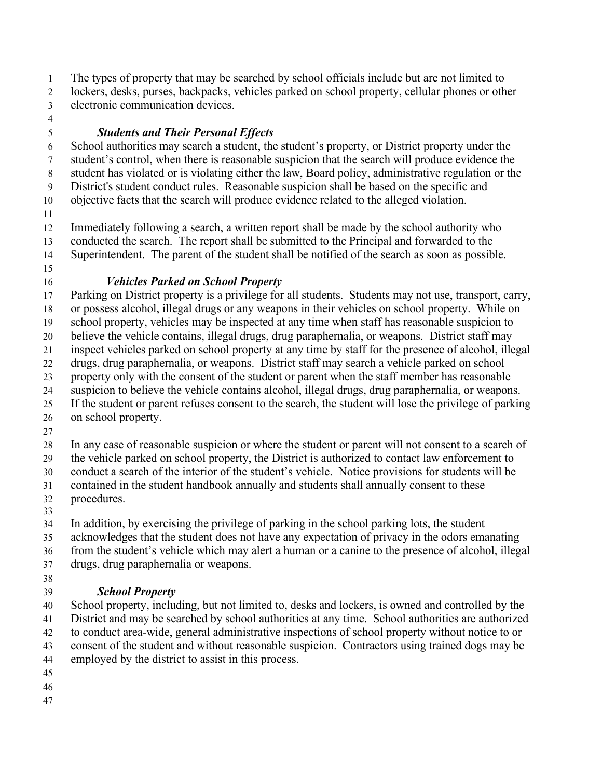The types of property that may be searched by school officials include but are not limited to lockers, desks, purses, backpacks, vehicles parked on school property, cellular phones or other

- electronic communication devices.
- 

## *Students and Their Personal Effects*

 School authorities may search a student, the student's property, or District property under the student's control, when there is reasonable suspicion that the search will produce evidence the student has violated or is violating either the law, Board policy, administrative regulation or the

District's student conduct rules. Reasonable suspicion shall be based on the specific and

objective facts that the search will produce evidence related to the alleged violation.

Immediately following a search, a written report shall be made by the school authority who

conducted the search. The report shall be submitted to the Principal and forwarded to the

Superintendent. The parent of the student shall be notified of the search as soon as possible.

## *Vehicles Parked on School Property*

 Parking on District property is a privilege for all students. Students may not use, transport, carry, or possess alcohol, illegal drugs or any weapons in their vehicles on school property. While on school property, vehicles may be inspected at any time when staff has reasonable suspicion to

believe the vehicle contains, illegal drugs, drug paraphernalia, or weapons. District staff may

inspect vehicles parked on school property at any time by staff for the presence of alcohol, illegal

drugs, drug paraphernalia, or weapons. District staff may search a vehicle parked on school

property only with the consent of the student or parent when the staff member has reasonable

suspicion to believe the vehicle contains alcohol, illegal drugs, drug paraphernalia, or weapons.

 If the student or parent refuses consent to the search, the student will lose the privilege of parking on school property.

In any case of reasonable suspicion or where the student or parent will not consent to a search of

the vehicle parked on school property, the District is authorized to contact law enforcement to

conduct a search of the interior of the student's vehicle. Notice provisions for students will be

contained in the student handbook annually and students shall annually consent to these

procedures.

 In addition, by exercising the privilege of parking in the school parking lots, the student

acknowledges that the student does not have any expectation of privacy in the odors emanating

from the student's vehicle which may alert a human or a canine to the presence of alcohol, illegal

- drugs, drug paraphernalia or weapons.
- 

## *School Property*

 School property, including, but not limited to, desks and lockers, is owned and controlled by the District and may be searched by school authorities at any time. School authorities are authorized to conduct area-wide, general administrative inspections of school property without notice to or consent of the student and without reasonable suspicion. Contractors using trained dogs may be employed by the district to assist in this process.

- 
- 
-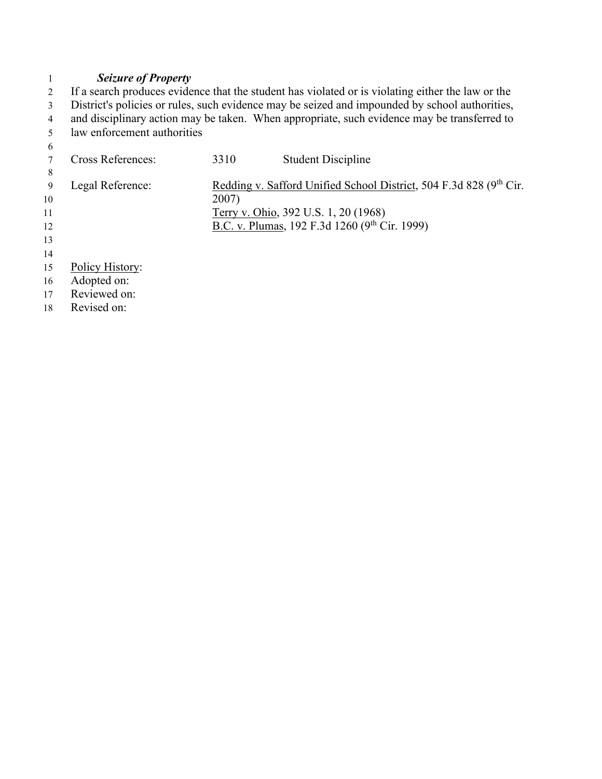#### 1 *Seizure of Property*

2 If a search produces evidence that the student has violated or is violating either the law or the <sup>2</sup> District's policies or rules, such evidence may be seized and impounded by school authorities, 4 and disciplinary action may be taken. When appropriate, such evidence may be transferred to law enforcement authorities law enforcement authorities

| 6  |                          |       |                                                                    |
|----|--------------------------|-------|--------------------------------------------------------------------|
|    | <b>Cross References:</b> | 3310  | <b>Student Discipline</b>                                          |
| 8  |                          |       |                                                                    |
| 9  | Legal Reference:         |       | Redding v. Safford Unified School District, 504 F.3d 828 (9th Cir. |
| 10 |                          | 2007) |                                                                    |
| 11 |                          |       | Terry v. Ohio, 392 U.S. 1, 20 (1968)                               |
| 12 |                          |       | B.C. v. Plumas, 192 F.3d 1260 (9th Cir. 1999)                      |
| 13 |                          |       |                                                                    |
| 14 |                          |       |                                                                    |
| 15 | Policy History:          |       |                                                                    |
| 16 | Adopted on:              |       |                                                                    |
| 17 | Reviewed on:             |       |                                                                    |
| 18 | Revised on:              |       |                                                                    |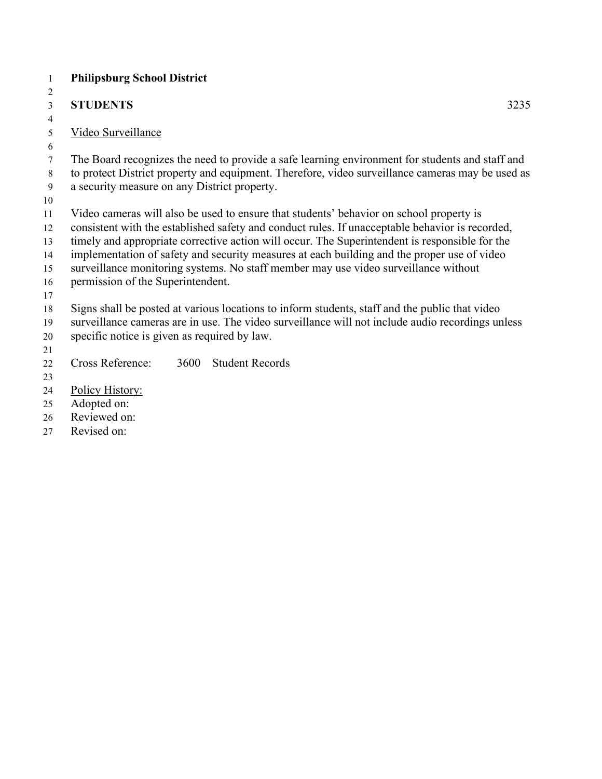| $\overline{c}$ |                                                                                                  |  |  |  |
|----------------|--------------------------------------------------------------------------------------------------|--|--|--|
| $\mathfrak{Z}$ | <b>STUDENTS</b><br>3235                                                                          |  |  |  |
| 4              |                                                                                                  |  |  |  |
| 5              | Video Surveillance                                                                               |  |  |  |
| 6              |                                                                                                  |  |  |  |
| 7              | The Board recognizes the need to provide a safe learning environment for students and staff and  |  |  |  |
| $8\,$          | to protect District property and equipment. Therefore, video surveillance cameras may be used as |  |  |  |
| 9              | a security measure on any District property.                                                     |  |  |  |
| 10             |                                                                                                  |  |  |  |
| 11             | Video cameras will also be used to ensure that students' behavior on school property is          |  |  |  |
| 12             | consistent with the established safety and conduct rules. If unacceptable behavior is recorded,  |  |  |  |
| 13             | timely and appropriate corrective action will occur. The Superintendent is responsible for the   |  |  |  |
| 14             | implementation of safety and security measures at each building and the proper use of video      |  |  |  |
| 15             | surveillance monitoring systems. No staff member may use video surveillance without              |  |  |  |
| 16             | permission of the Superintendent.                                                                |  |  |  |
| 17             |                                                                                                  |  |  |  |
| 18             | Signs shall be posted at various locations to inform students, staff and the public that video   |  |  |  |
| 19             | surveillance cameras are in use. The video surveillance will not include audio recordings unless |  |  |  |
| 20             | specific notice is given as required by law.                                                     |  |  |  |
| 21             |                                                                                                  |  |  |  |
| 22             | Cross Reference:<br><b>Student Records</b><br>3600                                               |  |  |  |
| 23             |                                                                                                  |  |  |  |
| 24             | Policy History:                                                                                  |  |  |  |
| 25             | Adopted on:                                                                                      |  |  |  |
| 26             | Reviewed on:                                                                                     |  |  |  |
| 27             | Revised on:                                                                                      |  |  |  |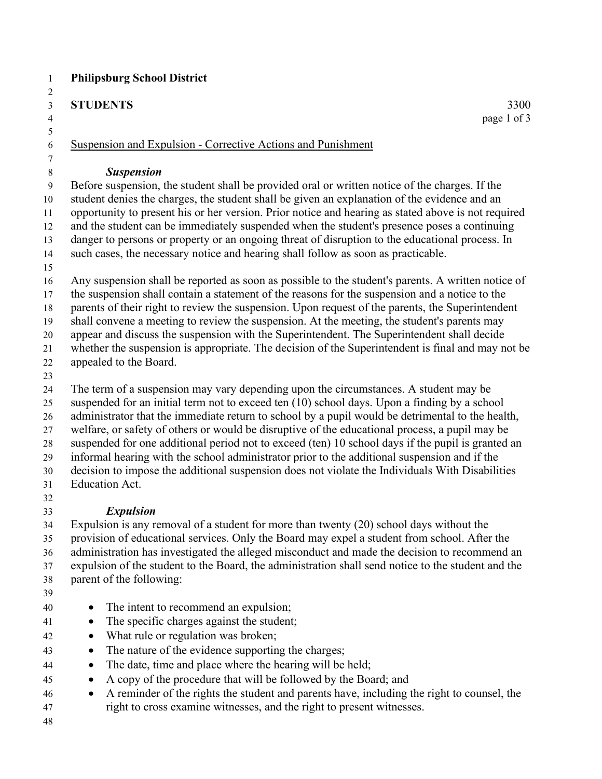#### **STUDENTS** 3300

Suspension and Expulsion - Corrective Actions and Punishment

#### *Suspension*

 Before suspension, the student shall be provided oral or written notice of the charges. If the student denies the charges, the student shall be given an explanation of the evidence and an opportunity to present his or her version. Prior notice and hearing as stated above is not required and the student can be immediately suspended when the student's presence poses a continuing danger to persons or property or an ongoing threat of disruption to the educational process. In such cases, the necessary notice and hearing shall follow as soon as practicable.

 Any suspension shall be reported as soon as possible to the student's parents. A written notice of the suspension shall contain a statement of the reasons for the suspension and a notice to the

parents of their right to review the suspension. Upon request of the parents, the Superintendent

shall convene a meeting to review the suspension. At the meeting, the student's parents may

appear and discuss the suspension with the Superintendent. The Superintendent shall decide

whether the suspension is appropriate. The decision of the Superintendent is final and may not be

- appealed to the Board.
- 

The term of a suspension may vary depending upon the circumstances. A student may be

 suspended for an initial term not to exceed ten (10) school days. Upon a finding by a school 26 administrator that the immediate return to school by a pupil would be detrimental to the health,

welfare, or safety of others or would be disruptive of the educational process, a pupil may be

suspended for one additional period not to exceed (ten) 10 school days if the pupil is granted an

informal hearing with the school administrator prior to the additional suspension and if the

decision to impose the additional suspension does not violate the Individuals With Disabilities

Education Act.

## *Expulsion*

 Expulsion is any removal of a student for more than twenty (20) school days without the provision of educational services. Only the Board may expel a student from school. After the administration has investigated the alleged misconduct and made the decision to recommend an expulsion of the student to the Board, the administration shall send notice to the student and the parent of the following:

- 
- The intent to recommend an expulsion;
- The specific charges against the student;
- What rule or regulation was broken;
- The nature of the evidence supporting the charges;
- 44 The date, time and place where the hearing will be held;
- A copy of the procedure that will be followed by the Board; and
- A reminder of the rights the student and parents have, including the right to counsel, the right to cross examine witnesses, and the right to present witnesses.
-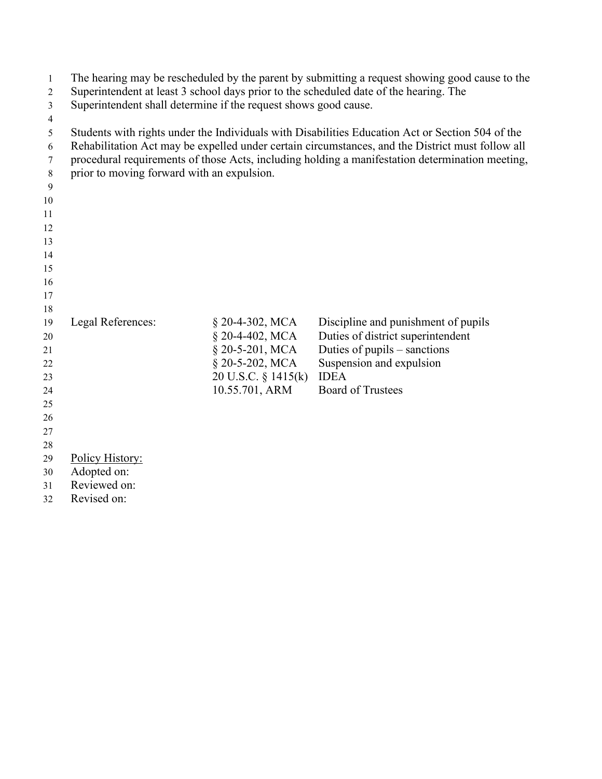| $\mathbf{1}$   | The hearing may be rescheduled by the parent by submitting a request showing good cause to the |                     |                                                                                                  |  |
|----------------|------------------------------------------------------------------------------------------------|---------------------|--------------------------------------------------------------------------------------------------|--|
| $\overline{2}$ | Superintendent at least 3 school days prior to the scheduled date of the hearing. The          |                     |                                                                                                  |  |
| 3              | Superintendent shall determine if the request shows good cause.                                |                     |                                                                                                  |  |
| 4              |                                                                                                |                     |                                                                                                  |  |
| 5              |                                                                                                |                     | Students with rights under the Individuals with Disabilities Education Act or Section 504 of the |  |
| 6              |                                                                                                |                     | Rehabilitation Act may be expelled under certain circumstances, and the District must follow all |  |
| 7              |                                                                                                |                     | procedural requirements of those Acts, including holding a manifestation determination meeting,  |  |
| 8              | prior to moving forward with an expulsion.                                                     |                     |                                                                                                  |  |
| 9              |                                                                                                |                     |                                                                                                  |  |
| 10             |                                                                                                |                     |                                                                                                  |  |
| 11             |                                                                                                |                     |                                                                                                  |  |
| 12             |                                                                                                |                     |                                                                                                  |  |
| 13             |                                                                                                |                     |                                                                                                  |  |
| 14             |                                                                                                |                     |                                                                                                  |  |
| 15             |                                                                                                |                     |                                                                                                  |  |
| 16             |                                                                                                |                     |                                                                                                  |  |
| 17             |                                                                                                |                     |                                                                                                  |  |
| 18             |                                                                                                |                     |                                                                                                  |  |
| 19             | Legal References:                                                                              | § 20-4-302, MCA     | Discipline and punishment of pupils                                                              |  |
| 20             |                                                                                                | § 20-4-402, MCA     | Duties of district superintendent                                                                |  |
| 21             |                                                                                                | § 20-5-201, MCA     | Duties of pupils - sanctions                                                                     |  |
| 22             |                                                                                                | § 20-5-202, MCA     | Suspension and expulsion                                                                         |  |
| 23             |                                                                                                | 20 U.S.C. § 1415(k) | <b>IDEA</b>                                                                                      |  |
| 24             |                                                                                                | 10.55.701, ARM      | <b>Board of Trustees</b>                                                                         |  |
| 25             |                                                                                                |                     |                                                                                                  |  |
| 26             |                                                                                                |                     |                                                                                                  |  |
| 27             |                                                                                                |                     |                                                                                                  |  |
| 28             |                                                                                                |                     |                                                                                                  |  |
| 29             | Policy History:                                                                                |                     |                                                                                                  |  |
| 30             | Adopted on:                                                                                    |                     |                                                                                                  |  |
| 31             | Reviewed on:                                                                                   |                     |                                                                                                  |  |

Revised on: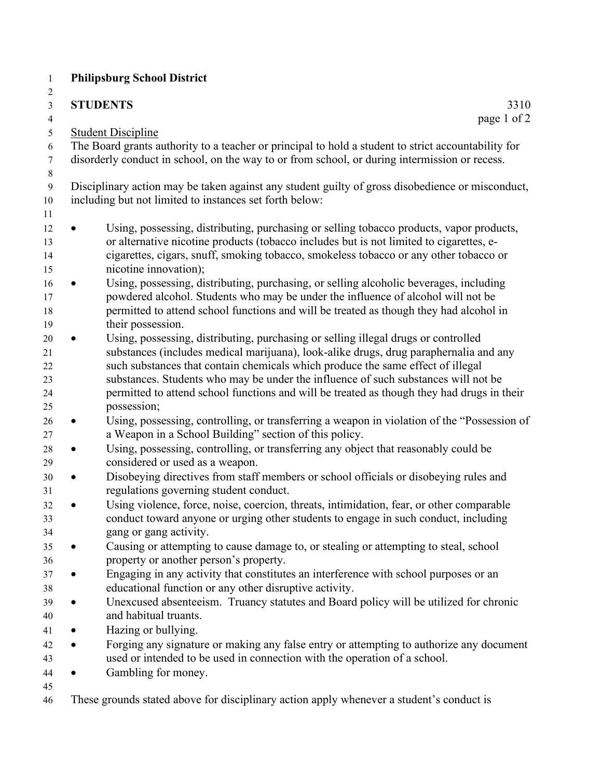| 2<br>$\mathfrak{Z}$<br>$\overline{4}$     | <b>STUDENTS</b><br>3310<br>page 1 of 2                                                                                                                                                                                                                                                                                                                                                                                                                            |
|-------------------------------------------|-------------------------------------------------------------------------------------------------------------------------------------------------------------------------------------------------------------------------------------------------------------------------------------------------------------------------------------------------------------------------------------------------------------------------------------------------------------------|
| 5                                         | <b>Student Discipline</b>                                                                                                                                                                                                                                                                                                                                                                                                                                         |
| 6<br>$\tau$                               | The Board grants authority to a teacher or principal to hold a student to strict accountability for<br>disorderly conduct in school, on the way to or from school, or during intermission or recess.                                                                                                                                                                                                                                                              |
| $\,$ $\,$<br>$\boldsymbol{9}$<br>10<br>11 | Disciplinary action may be taken against any student guilty of gross disobedience or misconduct,<br>including but not limited to instances set forth below:                                                                                                                                                                                                                                                                                                       |
| 12<br>13<br>14<br>15                      | Using, possessing, distributing, purchasing or selling tobacco products, vapor products,<br>or alternative nicotine products (tobacco includes but is not limited to cigarettes, e-<br>cigarettes, cigars, snuff, smoking tobacco, smokeless tobacco or any other tobacco or<br>nicotine innovation);                                                                                                                                                             |
| 16<br>17<br>18<br>19                      | Using, possessing, distributing, purchasing, or selling alcoholic beverages, including<br>powdered alcohol. Students who may be under the influence of alcohol will not be<br>permitted to attend school functions and will be treated as though they had alcohol in<br>their possession.                                                                                                                                                                         |
| 20<br>21<br>22<br>23<br>24<br>25          | Using, possessing, distributing, purchasing or selling illegal drugs or controlled<br>substances (includes medical marijuana), look-alike drugs, drug paraphernalia and any<br>such substances that contain chemicals which produce the same effect of illegal<br>substances. Students who may be under the influence of such substances will not be<br>permitted to attend school functions and will be treated as though they had drugs in their<br>possession; |
| 26<br>27                                  | Using, possessing, controlling, or transferring a weapon in violation of the "Possession of<br>a Weapon in a School Building" section of this policy.                                                                                                                                                                                                                                                                                                             |
| 28<br>29                                  | Using, possessing, controlling, or transferring any object that reasonably could be<br>$\bullet$<br>considered or used as a weapon.                                                                                                                                                                                                                                                                                                                               |
| 30<br>31                                  | Disobeying directives from staff members or school officials or disobeying rules and<br>$\bullet$<br>regulations governing student conduct.                                                                                                                                                                                                                                                                                                                       |
| 32<br>33<br>34                            | Using violence, force, noise, coercion, threats, intimidation, fear, or other comparable<br>conduct toward anyone or urging other students to engage in such conduct, including<br>gang or gang activity.                                                                                                                                                                                                                                                         |
| 35<br>36                                  | Causing or attempting to cause damage to, or stealing or attempting to steal, school<br>property or another person's property.                                                                                                                                                                                                                                                                                                                                    |
| 37<br>38                                  | Engaging in any activity that constitutes an interference with school purposes or an<br>$\bullet$<br>educational function or any other disruptive activity.                                                                                                                                                                                                                                                                                                       |
| 39<br>40                                  | Unexcused absenteeism. Truancy statutes and Board policy will be utilized for chronic<br>$\bullet$<br>and habitual truants.                                                                                                                                                                                                                                                                                                                                       |
| 41                                        | Hazing or bullying.<br>$\bullet$                                                                                                                                                                                                                                                                                                                                                                                                                                  |
| 42<br>43                                  | Forging any signature or making any false entry or attempting to authorize any document<br>$\bullet$<br>used or intended to be used in connection with the operation of a school.                                                                                                                                                                                                                                                                                 |
| 44                                        | Gambling for money.<br>$\bullet$                                                                                                                                                                                                                                                                                                                                                                                                                                  |
| 45                                        |                                                                                                                                                                                                                                                                                                                                                                                                                                                                   |
| 46                                        | These grounds stated above for disciplinary action apply whenever a student's conduct is                                                                                                                                                                                                                                                                                                                                                                          |

 $\frac{1}{2}$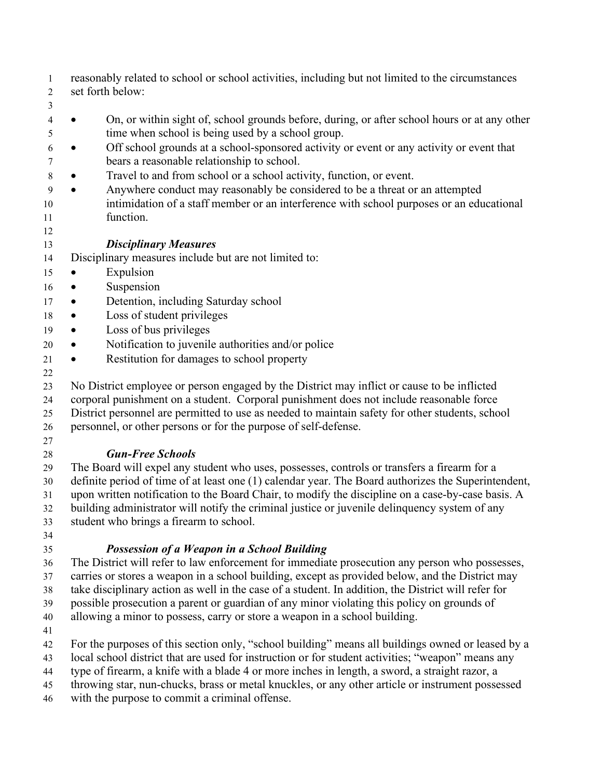- reasonably related to school or school activities, including but not limited to the circumstances set forth below:
- 
- On, or within sight of, school grounds before, during, or after school hours or at any other time when school is being used by a school group.
- Off school grounds at a school-sponsored activity or event or any activity or event that bears a reasonable relationship to school.
- Travel to and from school or a school activity, function, or event.
- Anywhere conduct may reasonably be considered to be a threat or an attempted
- intimidation of a staff member or an interference with school purposes or an educational function.
- 

#### *Disciplinary Measures*

- Disciplinary measures include but are not limited to:
- Expulsion
- Suspension
- 17 Detention, including Saturday school
- Loss of student privileges
- Loss of bus privileges
- Notification to juvenile authorities and/or police
- Restitution for damages to school property
- 

No District employee or person engaged by the District may inflict or cause to be inflicted

- corporal punishment on a student. Corporal punishment does not include reasonable force
- District personnel are permitted to use as needed to maintain safety for other students, school
- personnel, or other persons or for the purpose of self-defense.
- 

## *Gun-Free Schools*

 The Board will expel any student who uses, possesses, controls or transfers a firearm for a definite period of time of at least one (1) calendar year. The Board authorizes the Superintendent, upon written notification to the Board Chair, to modify the discipline on a case-by-case basis. A building administrator will notify the criminal justice or juvenile delinquency system of any student who brings a firearm to school.

## *Possession of a Weapon in a School Building*

The District will refer to law enforcement for immediate prosecution any person who possesses,

carries or stores a weapon in a school building, except as provided below, and the District may

 take disciplinary action as well in the case of a student. In addition, the District will refer for possible prosecution a parent or guardian of any minor violating this policy on grounds of

allowing a minor to possess, carry or store a weapon in a school building.

- 
- For the purposes of this section only, "school building" means all buildings owned or leased by a
- local school district that are used for instruction or for student activities; "weapon" means any
- type of firearm, a knife with a blade 4 or more inches in length, a sword, a straight razor, a
- throwing star, nun-chucks, brass or metal knuckles, or any other article or instrument possessed
- with the purpose to commit a criminal offense.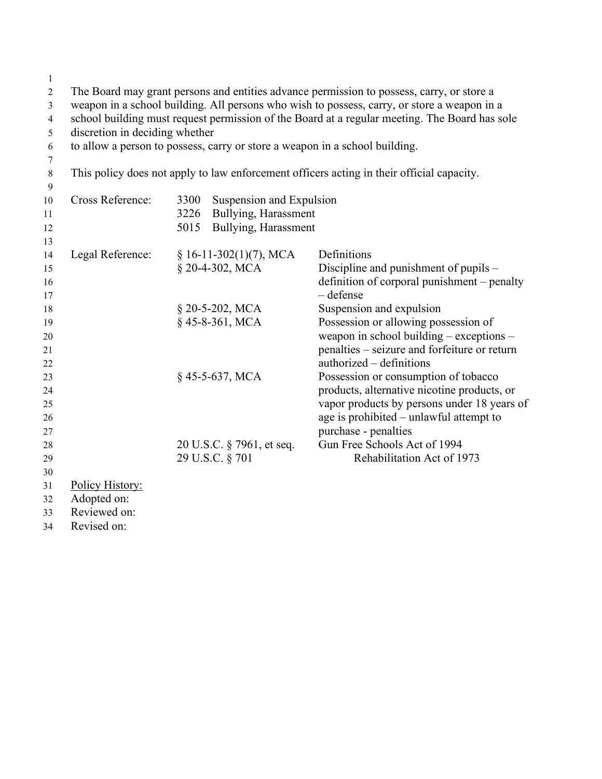| $\mathbf{1}$   |                                                                                             |      |                           |                                                                                               |
|----------------|---------------------------------------------------------------------------------------------|------|---------------------------|-----------------------------------------------------------------------------------------------|
| $\overline{c}$ | The Board may grant persons and entities advance permission to possess, carry, or store a   |      |                           |                                                                                               |
| 3              | weapon in a school building. All persons who wish to possess, carry, or store a weapon in a |      |                           |                                                                                               |
| 4              |                                                                                             |      |                           | school building must request permission of the Board at a regular meeting. The Board has sole |
| 5              | discretion in deciding whether                                                              |      |                           |                                                                                               |
| 6              |                                                                                             |      |                           | to allow a person to possess, carry or store a weapon in a school building.                   |
| 7              |                                                                                             |      |                           |                                                                                               |
| $\,8\,$        |                                                                                             |      |                           | This policy does not apply to law enforcement officers acting in their official capacity.     |
| 9              |                                                                                             |      |                           |                                                                                               |
| 10             | Cross Reference:                                                                            | 3300 | Suspension and Expulsion  |                                                                                               |
| 11             |                                                                                             | 3226 | Bullying, Harassment      |                                                                                               |
| 12             |                                                                                             | 5015 | Bullying, Harassment      |                                                                                               |
| 13             |                                                                                             |      |                           |                                                                                               |
| 14             | Legal Reference:                                                                            |      | $§ 16-11-302(1)(7)$ , MCA | Definitions                                                                                   |
| 15             |                                                                                             |      | § 20-4-302, MCA           | Discipline and punishment of pupils -                                                         |
| 16<br>17       |                                                                                             |      |                           | definition of corporal punishment - penalty<br>$-\text{defense}$                              |
| 18             |                                                                                             |      | § 20-5-202, MCA           | Suspension and expulsion                                                                      |
| 19             |                                                                                             |      | §45-8-361, MCA            | Possession or allowing possession of                                                          |
| 20             |                                                                                             |      |                           | weapon in school building - exceptions -                                                      |
| 21             |                                                                                             |      |                           | penalties - seizure and forfeiture or return                                                  |
| 22             |                                                                                             |      |                           | authorized - definitions                                                                      |
| 23             |                                                                                             |      | §45-5-637, MCA            | Possession or consumption of tobacco                                                          |
| 24             |                                                                                             |      |                           | products, alternative nicotine products, or                                                   |
| 25             |                                                                                             |      |                           | vapor products by persons under 18 years of                                                   |
| 26             |                                                                                             |      |                           | age is prohibited - unlawful attempt to                                                       |
| 27             |                                                                                             |      |                           | purchase - penalties                                                                          |
| 28             |                                                                                             |      | 20 U.S.C. § 7961, et seq. | Gun Free Schools Act of 1994                                                                  |
| 29             |                                                                                             |      | 29 U.S.C. § 701           | Rehabilitation Act of 1973                                                                    |
| 30             |                                                                                             |      |                           |                                                                                               |
| 31             | Policy History:<br>Adopted on:                                                              |      |                           |                                                                                               |
| 32<br>33       | Reviewed on:                                                                                |      |                           |                                                                                               |
|                |                                                                                             |      |                           |                                                                                               |

Revised on: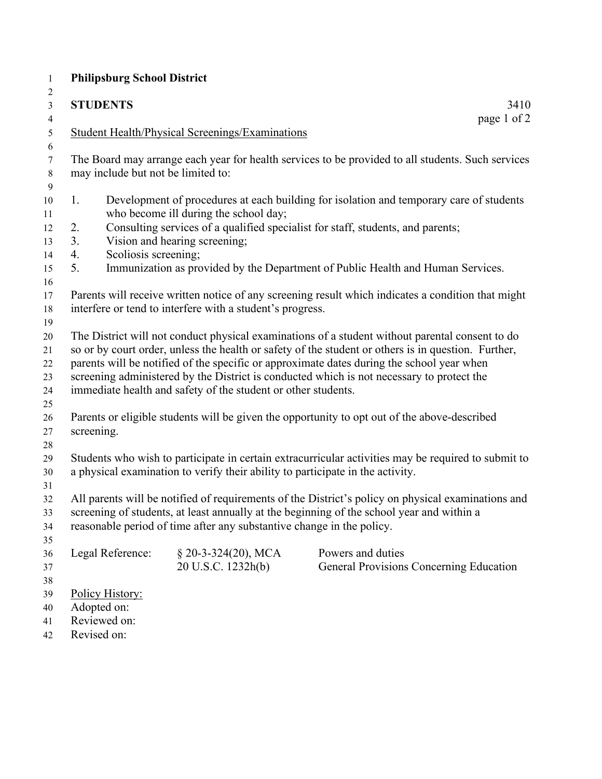| $\mathbf{1}$   | <b>Philipsburg School District</b>                                                                  |                                                                       |                                                                                                     |  |  |
|----------------|-----------------------------------------------------------------------------------------------------|-----------------------------------------------------------------------|-----------------------------------------------------------------------------------------------------|--|--|
| $\overline{c}$ |                                                                                                     |                                                                       |                                                                                                     |  |  |
| $\mathfrak{Z}$ | <b>STUDENTS</b>                                                                                     |                                                                       | 3410                                                                                                |  |  |
| $\overline{4}$ |                                                                                                     |                                                                       | page 1 of 2                                                                                         |  |  |
| $\mathfrak{S}$ |                                                                                                     | Student Health/Physical Screenings/Examinations                       |                                                                                                     |  |  |
| 6              |                                                                                                     |                                                                       |                                                                                                     |  |  |
| $\tau$         |                                                                                                     |                                                                       | The Board may arrange each year for health services to be provided to all students. Such services   |  |  |
| $8\,$          | may include but not be limited to:                                                                  |                                                                       |                                                                                                     |  |  |
| 9              |                                                                                                     |                                                                       |                                                                                                     |  |  |
| 10             | 1.                                                                                                  |                                                                       | Development of procedures at each building for isolation and temporary care of students             |  |  |
| 11             |                                                                                                     | who become ill during the school day;                                 |                                                                                                     |  |  |
| 12             | 2.                                                                                                  |                                                                       | Consulting services of a qualified specialist for staff, students, and parents;                     |  |  |
| 13             | 3.                                                                                                  | Vision and hearing screening;                                         |                                                                                                     |  |  |
| 14             | Scoliosis screening;<br>4.                                                                          |                                                                       |                                                                                                     |  |  |
| 15             | 5.                                                                                                  |                                                                       | Immunization as provided by the Department of Public Health and Human Services.                     |  |  |
| 16             |                                                                                                     |                                                                       |                                                                                                     |  |  |
| 17             |                                                                                                     |                                                                       | Parents will receive written notice of any screening result which indicates a condition that might  |  |  |
| 18             |                                                                                                     | interfere or tend to interfere with a student's progress.             |                                                                                                     |  |  |
| 19             |                                                                                                     |                                                                       |                                                                                                     |  |  |
| 20             |                                                                                                     |                                                                       | The District will not conduct physical examinations of a student without parental consent to do     |  |  |
| 21             | so or by court order, unless the health or safety of the student or others is in question. Further, |                                                                       |                                                                                                     |  |  |
| 22             | parents will be notified of the specific or approximate dates during the school year when           |                                                                       |                                                                                                     |  |  |
| 23             |                                                                                                     |                                                                       | screening administered by the District is conducted which is not necessary to protect the           |  |  |
| 24             |                                                                                                     | immediate health and safety of the student or other students.         |                                                                                                     |  |  |
| 25             |                                                                                                     |                                                                       |                                                                                                     |  |  |
| 26             |                                                                                                     |                                                                       | Parents or eligible students will be given the opportunity to opt out of the above-described        |  |  |
| 27             | screening.                                                                                          |                                                                       |                                                                                                     |  |  |
| 28             |                                                                                                     |                                                                       |                                                                                                     |  |  |
| 29             |                                                                                                     |                                                                       | Students who wish to participate in certain extracurricular activities may be required to submit to |  |  |
| 30             | a physical examination to verify their ability to participate in the activity.                      |                                                                       |                                                                                                     |  |  |
| 31             |                                                                                                     |                                                                       |                                                                                                     |  |  |
| 32             |                                                                                                     |                                                                       | All parents will be notified of requirements of the District's policy on physical examinations and  |  |  |
| 33             | screening of students, at least annually at the beginning of the school year and within a           |                                                                       |                                                                                                     |  |  |
| 34             |                                                                                                     | reasonable period of time after any substantive change in the policy. |                                                                                                     |  |  |
| 35             |                                                                                                     |                                                                       |                                                                                                     |  |  |
| 36             | Legal Reference:                                                                                    | $\S$ 20-3-324(20), MCA                                                | Powers and duties                                                                                   |  |  |
| 37             |                                                                                                     | 20 U.S.C. 1232h(b)                                                    | General Provisions Concerning Education                                                             |  |  |
| 38             |                                                                                                     |                                                                       |                                                                                                     |  |  |
| 39             | Policy History:                                                                                     |                                                                       |                                                                                                     |  |  |
| 40             | Adopted on:                                                                                         |                                                                       |                                                                                                     |  |  |
| 41             | Reviewed on:                                                                                        |                                                                       |                                                                                                     |  |  |
| 42             | Revised on:                                                                                         |                                                                       |                                                                                                     |  |  |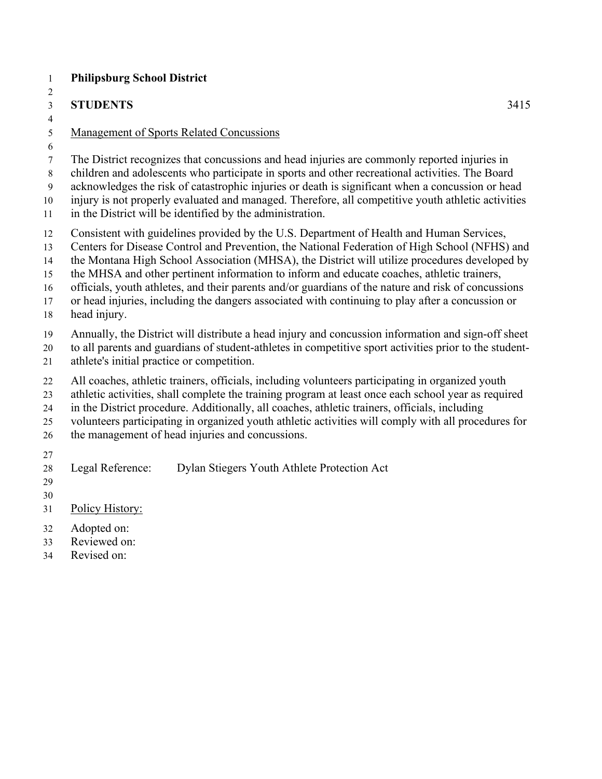## **STUDENTS** 3415

## Management of Sports Related Concussions

- The District recognizes that concussions and head injuries are commonly reported injuries in
- children and adolescents who participate in sports and other recreational activities. The Board
- acknowledges the risk of catastrophic injuries or death is significant when a concussion or head
- injury is not properly evaluated and managed. Therefore, all competitive youth athletic activities
- in the District will be identified by the administration.
- Consistent with guidelines provided by the U.S. Department of Health and Human Services,
- Centers for Disease Control and Prevention, the National Federation of High School (NFHS) and
- the Montana High School Association (MHSA), the District will utilize procedures developed by
- the MHSA and other pertinent information to inform and educate coaches, athletic trainers,
- officials, youth athletes, and their parents and/or guardians of the nature and risk of concussions
- or head injuries, including the dangers associated with continuing to play after a concussion or
- head injury.
- Annually, the District will distribute a head injury and concussion information and sign-off sheet
- to all parents and guardians of student-athletes in competitive sport activities prior to the student-
- athlete's initial practice or competition.
- All coaches, athletic trainers, officials, including volunteers participating in organized youth
- athletic activities, shall complete the training program at least once each school year as required
- in the District procedure. Additionally, all coaches, athletic trainers, officials, including
- volunteers participating in organized youth athletic activities will comply with all procedures for
- the management of head injuries and concussions.
- 
- Legal Reference: Dylan Stiegers Youth Athlete Protection Act
- 
- Policy History:
- Adopted on:
- Reviewed on:
- Revised on: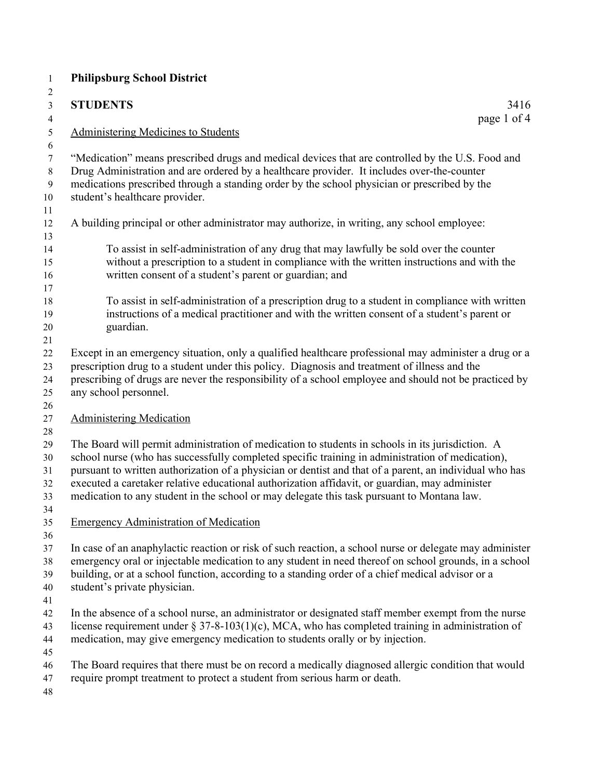| $\mathbf{1}$                           | <b>Philipsburg School District</b>                                                                                                                                                                                                                                                                                                                                                                                                                                                                              |
|----------------------------------------|-----------------------------------------------------------------------------------------------------------------------------------------------------------------------------------------------------------------------------------------------------------------------------------------------------------------------------------------------------------------------------------------------------------------------------------------------------------------------------------------------------------------|
| $\overline{c}$<br>3                    | <b>STUDENTS</b><br>3416                                                                                                                                                                                                                                                                                                                                                                                                                                                                                         |
| $\overline{\mathcal{A}}$               | page 1 of 4                                                                                                                                                                                                                                                                                                                                                                                                                                                                                                     |
| $\sqrt{5}$<br>6                        | <b>Administering Medicines to Students</b>                                                                                                                                                                                                                                                                                                                                                                                                                                                                      |
| 7<br>$8\,$<br>$\mathbf{9}$<br>10<br>11 | "Medication" means prescribed drugs and medical devices that are controlled by the U.S. Food and<br>Drug Administration and are ordered by a healthcare provider. It includes over-the-counter<br>medications prescribed through a standing order by the school physician or prescribed by the<br>student's healthcare provider.                                                                                                                                                                                |
| 12<br>13                               | A building principal or other administrator may authorize, in writing, any school employee:                                                                                                                                                                                                                                                                                                                                                                                                                     |
| 14<br>15<br>16<br>17                   | To assist in self-administration of any drug that may lawfully be sold over the counter<br>without a prescription to a student in compliance with the written instructions and with the<br>written consent of a student's parent or guardian; and                                                                                                                                                                                                                                                               |
| 18<br>19<br>$20\,$<br>21               | To assist in self-administration of a prescription drug to a student in compliance with written<br>instructions of a medical practitioner and with the written consent of a student's parent or<br>guardian.                                                                                                                                                                                                                                                                                                    |
| 22<br>23<br>24<br>25                   | Except in an emergency situation, only a qualified healthcare professional may administer a drug or a<br>prescription drug to a student under this policy. Diagnosis and treatment of illness and the<br>prescribing of drugs are never the responsibility of a school employee and should not be practiced by<br>any school personnel.                                                                                                                                                                         |
| 26<br>27<br>28                         | <b>Administering Medication</b>                                                                                                                                                                                                                                                                                                                                                                                                                                                                                 |
| 29<br>30<br>31<br>32<br>33<br>34       | The Board will permit administration of medication to students in schools in its jurisdiction. A<br>school nurse (who has successfully completed specific training in administration of medication),<br>pursuant to written authorization of a physician or dentist and that of a parent, an individual who has<br>executed a caretaker relative educational authorization affidavit, or guardian, may administer<br>medication to any student in the school or may delegate this task pursuant to Montana law. |
| 35<br>36                               | <b>Emergency Administration of Medication</b>                                                                                                                                                                                                                                                                                                                                                                                                                                                                   |
| 37<br>38<br>39<br>40<br>41             | In case of an anaphylactic reaction or risk of such reaction, a school nurse or delegate may administer<br>emergency oral or injectable medication to any student in need thereof on school grounds, in a school<br>building, or at a school function, according to a standing order of a chief medical advisor or a<br>student's private physician.                                                                                                                                                            |
| 42<br>43<br>44<br>45                   | In the absence of a school nurse, an administrator or designated staff member exempt from the nurse<br>license requirement under $\S 37-8-103(1)(c)$ , MCA, who has completed training in administration of<br>medication, may give emergency medication to students orally or by injection.                                                                                                                                                                                                                    |
| 46<br>47<br>48                         | The Board requires that there must be on record a medically diagnosed allergic condition that would<br>require prompt treatment to protect a student from serious harm or death.                                                                                                                                                                                                                                                                                                                                |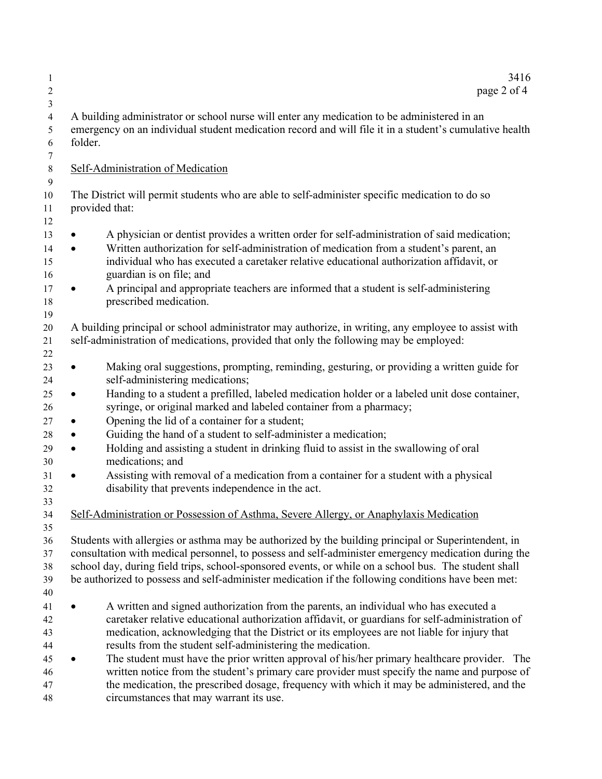| page 2 of 4                                                                                                                                                                                                                                                                                                                                            | 3416 |
|--------------------------------------------------------------------------------------------------------------------------------------------------------------------------------------------------------------------------------------------------------------------------------------------------------------------------------------------------------|------|
| A building administrator or school nurse will enter any medication to be administered in an<br>emergency on an individual student medication record and will file it in a student's cumulative health<br>folder.                                                                                                                                       |      |
| Self-Administration of Medication                                                                                                                                                                                                                                                                                                                      |      |
| The District will permit students who are able to self-administer specific medication to do so<br>provided that:                                                                                                                                                                                                                                       |      |
| A physician or dentist provides a written order for self-administration of said medication;<br>$\bullet$<br>Written authorization for self-administration of medication from a student's parent, an<br>$\bullet$<br>individual who has executed a caretaker relative educational authorization affidavit, or<br>guardian is on file; and               |      |
| A principal and appropriate teachers are informed that a student is self-administering<br>prescribed medication.                                                                                                                                                                                                                                       |      |
| A building principal or school administrator may authorize, in writing, any employee to assist with<br>self-administration of medications, provided that only the following may be employed:                                                                                                                                                           |      |
| Making oral suggestions, prompting, reminding, gesturing, or providing a written guide for<br>$\bullet$<br>self-administering medications;                                                                                                                                                                                                             |      |
| Handing to a student a prefilled, labeled medication holder or a labeled unit dose container,<br>$\bullet$<br>syringe, or original marked and labeled container from a pharmacy;                                                                                                                                                                       |      |
| Opening the lid of a container for a student;<br>$\bullet$<br>Guiding the hand of a student to self-administer a medication;<br>$\bullet$                                                                                                                                                                                                              |      |
| Holding and assisting a student in drinking fluid to assist in the swallowing of oral<br>$\bullet$<br>medications; and                                                                                                                                                                                                                                 |      |
| Assisting with removal of a medication from a container for a student with a physical<br>$\bullet$<br>disability that prevents independence in the act.                                                                                                                                                                                                |      |
| Self-Administration or Possession of Asthma, Severe Allergy, or Anaphylaxis Medication                                                                                                                                                                                                                                                                 |      |
| Students with allergies or asthma may be authorized by the building principal or Superintendent, in                                                                                                                                                                                                                                                    |      |
| consultation with medical personnel, to possess and self-administer emergency medication during the<br>school day, during field trips, school-sponsored events, or while on a school bus. The student shall<br>be authorized to possess and self-administer medication if the following conditions have been met:                                      |      |
| A written and signed authorization from the parents, an individual who has executed a<br>caretaker relative educational authorization affidavit, or guardians for self-administration of<br>medication, acknowledging that the District or its employees are not liable for injury that<br>results from the student self-administering the medication. |      |
| The student must have the prior written approval of his/her primary healthcare provider. The<br>written notice from the student's primary care provider must specify the name and purpose of<br>the medication, the prescribed dosage, frequency with which it may be administered, and the<br>circumstances that may warrant its use.                 |      |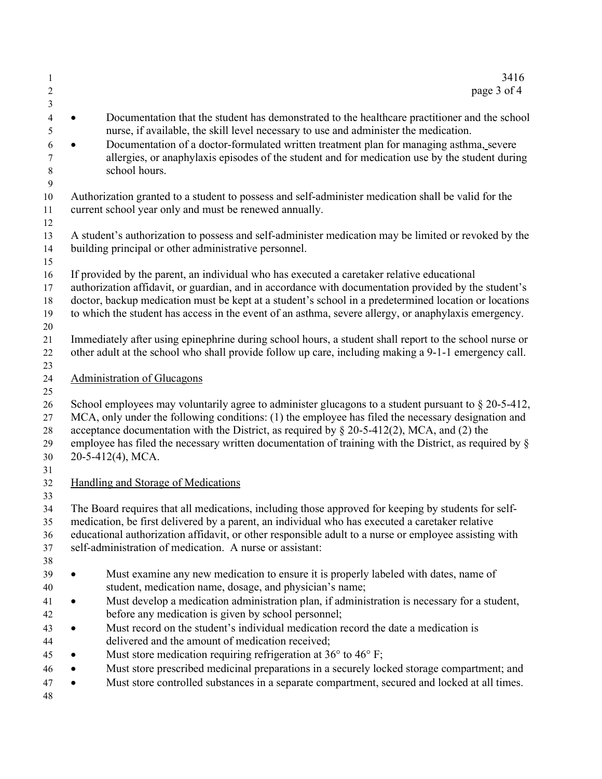| 1<br>2<br>3                            | 3416<br>page 3 of 4                                                                                                                                                                                                                                                                                                                                                                                                                                                                                                                  |
|----------------------------------------|--------------------------------------------------------------------------------------------------------------------------------------------------------------------------------------------------------------------------------------------------------------------------------------------------------------------------------------------------------------------------------------------------------------------------------------------------------------------------------------------------------------------------------------|
| 4<br>5<br>6<br>7<br>$\,8\,$<br>9       | Documentation that the student has demonstrated to the healthcare practitioner and the school<br>nurse, if available, the skill level necessary to use and administer the medication.<br>Documentation of a doctor-formulated written treatment plan for managing asthma, severe<br>allergies, or anaphylaxis episodes of the student and for medication use by the student during<br>school hours.                                                                                                                                  |
| 10<br>11<br>12                         | Authorization granted to a student to possess and self-administer medication shall be valid for the<br>current school year only and must be renewed annually.                                                                                                                                                                                                                                                                                                                                                                        |
| 13<br>14<br>15                         | A student's authorization to possess and self-administer medication may be limited or revoked by the<br>building principal or other administrative personnel.                                                                                                                                                                                                                                                                                                                                                                        |
| 16<br>17<br>18<br>19<br>20             | If provided by the parent, an individual who has executed a caretaker relative educational<br>authorization affidavit, or guardian, and in accordance with documentation provided by the student's<br>doctor, backup medication must be kept at a student's school in a predetermined location or locations<br>to which the student has access in the event of an asthma, severe allergy, or anaphylaxis emergency.                                                                                                                  |
| 21<br>22<br>23                         | Immediately after using epinephrine during school hours, a student shall report to the school nurse or<br>other adult at the school who shall provide follow up care, including making a 9-1-1 emergency call.                                                                                                                                                                                                                                                                                                                       |
| 24<br>25                               | <b>Administration of Glucagons</b>                                                                                                                                                                                                                                                                                                                                                                                                                                                                                                   |
| 26<br>27<br>28<br>29<br>30             | School employees may voluntarily agree to administer glucagons to a student pursuant to $\S 20-5-412$ ,<br>MCA, only under the following conditions: (1) the employee has filed the necessary designation and<br>acceptance documentation with the District, as required by $\S$ 20-5-412(2), MCA, and (2) the<br>employee has filed the necessary written documentation of training with the District, as required by §<br>20-5-412(4), MCA.                                                                                        |
| 31<br>32                               | Handling and Storage of Medications                                                                                                                                                                                                                                                                                                                                                                                                                                                                                                  |
| 33<br>34<br>35<br>36<br>37<br>38       | The Board requires that all medications, including those approved for keeping by students for self-<br>medication, be first delivered by a parent, an individual who has executed a caretaker relative<br>educational authorization affidavit, or other responsible adult to a nurse or employee assisting with<br>self-administration of medication. A nurse or assistant:                                                                                                                                                          |
| 39<br>40<br>41<br>42<br>43<br>44<br>45 | Must examine any new medication to ensure it is properly labeled with dates, name of<br>student, medication name, dosage, and physician's name;<br>Must develop a medication administration plan, if administration is necessary for a student,<br>before any medication is given by school personnel;<br>Must record on the student's individual medication record the date a medication is<br>delivered and the amount of medication received;<br>Must store medication requiring refrigeration at $36^{\circ}$ to $46^{\circ}$ F; |
| 46<br>47<br>48                         | Must store prescribed medicinal preparations in a securely locked storage compartment; and<br>Must store controlled substances in a separate compartment, secured and locked at all times.                                                                                                                                                                                                                                                                                                                                           |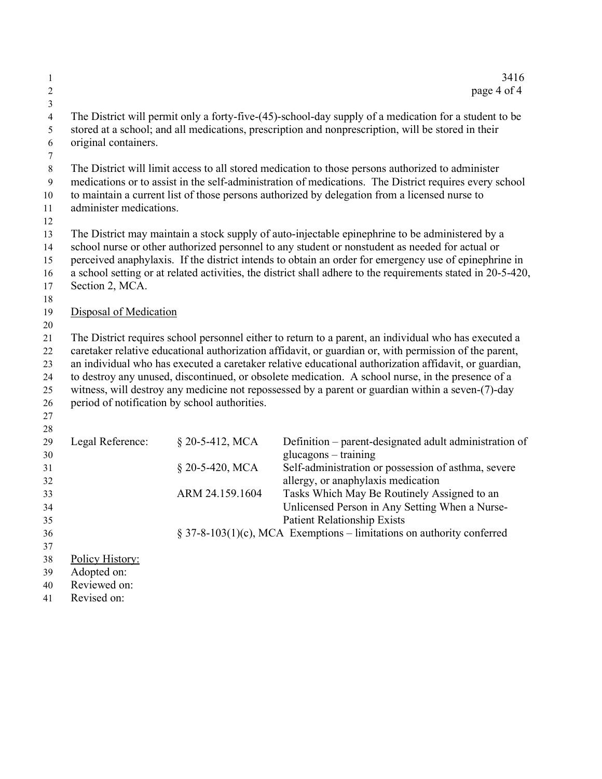| 1<br>$\boldsymbol{2}$                           |                                                |                                               | 3416<br>page 4 of 4                                                                                                                                                                                                                                                                                                                                                                                                                                                                                                                |
|-------------------------------------------------|------------------------------------------------|-----------------------------------------------|------------------------------------------------------------------------------------------------------------------------------------------------------------------------------------------------------------------------------------------------------------------------------------------------------------------------------------------------------------------------------------------------------------------------------------------------------------------------------------------------------------------------------------|
| $\mathfrak{Z}$<br>$\overline{4}$<br>5<br>6<br>7 | original containers.                           |                                               | The District will permit only a forty-five-(45)-school-day supply of a medication for a student to be<br>stored at a school; and all medications, prescription and nonprescription, will be stored in their                                                                                                                                                                                                                                                                                                                        |
| $\,8\,$<br>$\overline{9}$<br>10<br>11<br>12     | administer medications.                        |                                               | The District will limit access to all stored medication to those persons authorized to administer<br>medications or to assist in the self-administration of medications. The District requires every school<br>to maintain a current list of those persons authorized by delegation from a licensed nurse to                                                                                                                                                                                                                       |
| 13<br>14<br>15<br>16<br>17<br>18                | Section 2, MCA.                                |                                               | The District may maintain a stock supply of auto-injectable epinephrine to be administered by a<br>school nurse or other authorized personnel to any student or nonstudent as needed for actual or<br>perceived anaphylaxis. If the district intends to obtain an order for emergency use of epinephrine in<br>a school setting or at related activities, the district shall adhere to the requirements stated in 20-5-420,                                                                                                        |
| 19                                              | Disposal of Medication                         |                                               |                                                                                                                                                                                                                                                                                                                                                                                                                                                                                                                                    |
| 20<br>21<br>22<br>23<br>24<br>25<br>26<br>27    |                                                | period of notification by school authorities. | The District requires school personnel either to return to a parent, an individual who has executed a<br>caretaker relative educational authorization affidavit, or guardian or, with permission of the parent,<br>an individual who has executed a caretaker relative educational authorization affidavit, or guardian,<br>to destroy any unused, discontinued, or obsolete medication. A school nurse, in the presence of a<br>witness, will destroy any medicine not repossessed by a parent or guardian within a seven-(7)-day |
| 28<br>29<br>30<br>31                            | Legal Reference:                               | § 20-5-412, MCA<br>§ 20-5-420, MCA            | Definition – parent-designated adult administration of<br>glucagons - training<br>Self-administration or possession of asthma, severe                                                                                                                                                                                                                                                                                                                                                                                              |
| 32<br>33<br>34                                  |                                                | ARM 24.159.1604                               | allergy, or anaphylaxis medication<br>Tasks Which May Be Routinely Assigned to an<br>Unlicensed Person in Any Setting When a Nurse-                                                                                                                                                                                                                                                                                                                                                                                                |
| 35<br>36                                        |                                                |                                               | <b>Patient Relationship Exists</b><br>§ 37-8-103(1)(c), MCA Exemptions – limitations on authority conferred                                                                                                                                                                                                                                                                                                                                                                                                                        |
| 37<br>38<br>39<br>40                            | Policy History:<br>Adopted on:<br>Reviewed on: |                                               |                                                                                                                                                                                                                                                                                                                                                                                                                                                                                                                                    |

Revised on: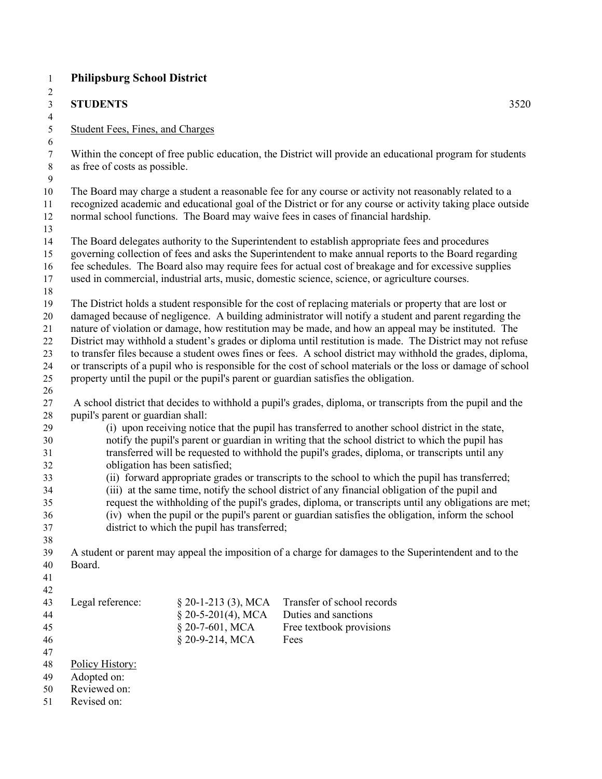| $\mathbf{1}$            | <b>Philipsburg School District</b>                                                              |                                              |                                                                                                                                                                                                                 |  |
|-------------------------|-------------------------------------------------------------------------------------------------|----------------------------------------------|-----------------------------------------------------------------------------------------------------------------------------------------------------------------------------------------------------------------|--|
| $\overline{\mathbf{c}}$ |                                                                                                 |                                              |                                                                                                                                                                                                                 |  |
| 3                       | <b>STUDENTS</b>                                                                                 |                                              | 3520                                                                                                                                                                                                            |  |
| $\overline{\mathbf{4}}$ |                                                                                                 |                                              |                                                                                                                                                                                                                 |  |
| 5                       | <b>Student Fees, Fines, and Charges</b>                                                         |                                              |                                                                                                                                                                                                                 |  |
| $\sqrt{6}$              |                                                                                                 |                                              |                                                                                                                                                                                                                 |  |
| $\boldsymbol{7}$        |                                                                                                 |                                              | Within the concept of free public education, the District will provide an educational program for students                                                                                                      |  |
| $\,8\,$                 | as free of costs as possible.                                                                   |                                              |                                                                                                                                                                                                                 |  |
| 9                       |                                                                                                 |                                              |                                                                                                                                                                                                                 |  |
| 10                      |                                                                                                 |                                              | The Board may charge a student a reasonable fee for any course or activity not reasonably related to a                                                                                                          |  |
| 11                      |                                                                                                 |                                              | recognized academic and educational goal of the District or for any course or activity taking place outside                                                                                                     |  |
| 12                      |                                                                                                 |                                              | normal school functions. The Board may waive fees in cases of financial hardship.                                                                                                                               |  |
| 13                      |                                                                                                 |                                              |                                                                                                                                                                                                                 |  |
| 14                      |                                                                                                 |                                              | The Board delegates authority to the Superintendent to establish appropriate fees and procedures                                                                                                                |  |
| 15<br>16                |                                                                                                 |                                              | governing collection of fees and asks the Superintendent to make annual reports to the Board regarding<br>fee schedules. The Board also may require fees for actual cost of breakage and for excessive supplies |  |
| 17                      |                                                                                                 |                                              | used in commercial, industrial arts, music, domestic science, science, or agriculture courses.                                                                                                                  |  |
| 18                      |                                                                                                 |                                              |                                                                                                                                                                                                                 |  |
| 19                      |                                                                                                 |                                              | The District holds a student responsible for the cost of replacing materials or property that are lost or                                                                                                       |  |
| $20\,$                  |                                                                                                 |                                              | damaged because of negligence. A building administrator will notify a student and parent regarding the                                                                                                          |  |
| 21                      |                                                                                                 |                                              | nature of violation or damage, how restitution may be made, and how an appeal may be instituted. The                                                                                                            |  |
| $22\,$                  |                                                                                                 |                                              | District may withhold a student's grades or diploma until restitution is made. The District may not refuse                                                                                                      |  |
| 23                      |                                                                                                 |                                              | to transfer files because a student owes fines or fees. A school district may withhold the grades, diploma,                                                                                                     |  |
| 24                      |                                                                                                 |                                              | or transcripts of a pupil who is responsible for the cost of school materials or the loss or damage of school                                                                                                   |  |
| $25\,$                  |                                                                                                 |                                              | property until the pupil or the pupil's parent or guardian satisfies the obligation.                                                                                                                            |  |
| 26                      |                                                                                                 |                                              |                                                                                                                                                                                                                 |  |
| 27                      |                                                                                                 |                                              | A school district that decides to withhold a pupil's grades, diploma, or transcripts from the pupil and the                                                                                                     |  |
| 28                      | pupil's parent or guardian shall:                                                               |                                              |                                                                                                                                                                                                                 |  |
| 29                      |                                                                                                 |                                              | (i) upon receiving notice that the pupil has transferred to another school district in the state,                                                                                                               |  |
| 30                      |                                                                                                 |                                              | notify the pupil's parent or guardian in writing that the school district to which the pupil has                                                                                                                |  |
| 31                      | transferred will be requested to withhold the pupil's grades, diploma, or transcripts until any |                                              |                                                                                                                                                                                                                 |  |
| 32                      | obligation has been satisfied;                                                                  |                                              |                                                                                                                                                                                                                 |  |
| 33                      |                                                                                                 |                                              | (ii) forward appropriate grades or transcripts to the school to which the pupil has transferred;                                                                                                                |  |
| 34                      |                                                                                                 |                                              | (iii) at the same time, notify the school district of any financial obligation of the pupil and                                                                                                                 |  |
| 35                      |                                                                                                 |                                              | request the withholding of the pupil's grades, diploma, or transcripts until any obligations are met;                                                                                                           |  |
| 36                      |                                                                                                 |                                              | (iv) when the pupil or the pupil's parent or guardian satisfies the obligation, inform the school                                                                                                               |  |
| 37                      |                                                                                                 | district to which the pupil has transferred; |                                                                                                                                                                                                                 |  |
| 38                      |                                                                                                 |                                              |                                                                                                                                                                                                                 |  |
| 39                      | Board.                                                                                          |                                              | A student or parent may appeal the imposition of a charge for damages to the Superintendent and to the                                                                                                          |  |
| 40<br>41                |                                                                                                 |                                              |                                                                                                                                                                                                                 |  |
| 42                      |                                                                                                 |                                              |                                                                                                                                                                                                                 |  |
| 43                      | Legal reference:                                                                                | $\S$ 20-1-213 (3), MCA                       | Transfer of school records                                                                                                                                                                                      |  |
| 44                      |                                                                                                 | $$20-5-201(4), MCA$                          | Duties and sanctions                                                                                                                                                                                            |  |
| 45                      |                                                                                                 | § 20-7-601, MCA                              | Free textbook provisions                                                                                                                                                                                        |  |
| 46                      |                                                                                                 | § 20-9-214, MCA                              | Fees                                                                                                                                                                                                            |  |
| 47                      |                                                                                                 |                                              |                                                                                                                                                                                                                 |  |
| 48                      | Policy History:                                                                                 |                                              |                                                                                                                                                                                                                 |  |
| 49                      | Adopted on:                                                                                     |                                              |                                                                                                                                                                                                                 |  |
| 50                      | Reviewed on:                                                                                    |                                              |                                                                                                                                                                                                                 |  |
| 51                      | Revised on:                                                                                     |                                              |                                                                                                                                                                                                                 |  |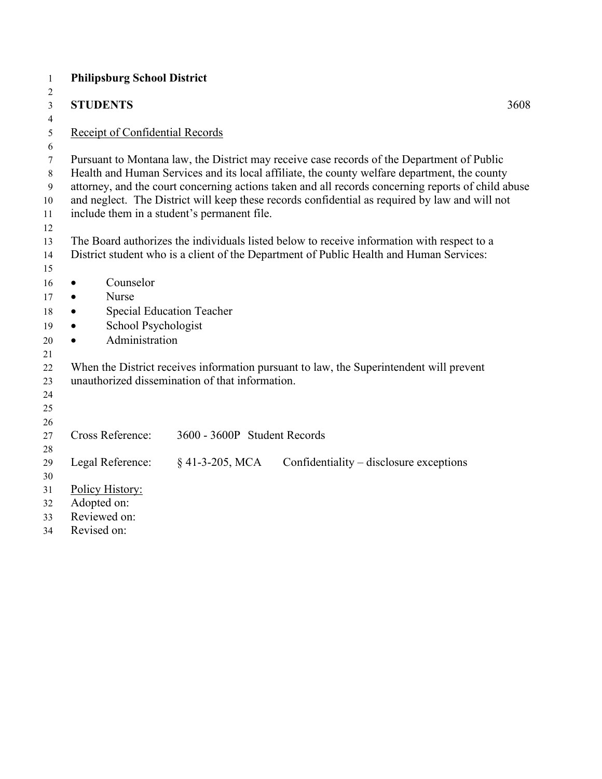| $\mathbf{1}$   | <b>Philipsburg School District</b>                                                                 |
|----------------|----------------------------------------------------------------------------------------------------|
| $\overline{2}$ |                                                                                                    |
| 3              | <b>STUDENTS</b><br>3608                                                                            |
| 4              | Receipt of Confidential Records                                                                    |
| 5<br>6         |                                                                                                    |
| 7              | Pursuant to Montana law, the District may receive case records of the Department of Public         |
| $\,8\,$        | Health and Human Services and its local affiliate, the county welfare department, the county       |
| 9              | attorney, and the court concerning actions taken and all records concerning reports of child abuse |
| $10\,$         | and neglect. The District will keep these records confidential as required by law and will not     |
| 11             | include them in a student's permanent file.                                                        |
| 12             |                                                                                                    |
| 13             | The Board authorizes the individuals listed below to receive information with respect to a         |
| 14             | District student who is a client of the Department of Public Health and Human Services:            |
| 15<br>16       | Counselor                                                                                          |
| 17             | $\bullet$<br>Nurse<br>$\bullet$                                                                    |
| 18             | <b>Special Education Teacher</b><br>$\bullet$                                                      |
| 19             | School Psychologist<br>$\bullet$                                                                   |
| 20             | Administration                                                                                     |
| 21             |                                                                                                    |
| 22             | When the District receives information pursuant to law, the Superintendent will prevent            |
| 23             | unauthorized dissemination of that information.                                                    |
| 24             |                                                                                                    |
| 25             |                                                                                                    |
| 26             |                                                                                                    |
| 27             | <b>Cross Reference:</b><br>3600 - 3600P Student Records                                            |
| 28             | $§$ 41-3-205, MCA<br>Legal Reference:<br>Confidentiality – disclosure exceptions                   |
| 29<br>30       |                                                                                                    |
| 31             | Policy History:                                                                                    |
| 32             | Adopted on:                                                                                        |
| 33             | Reviewed on:                                                                                       |
| 34             | Revised on:                                                                                        |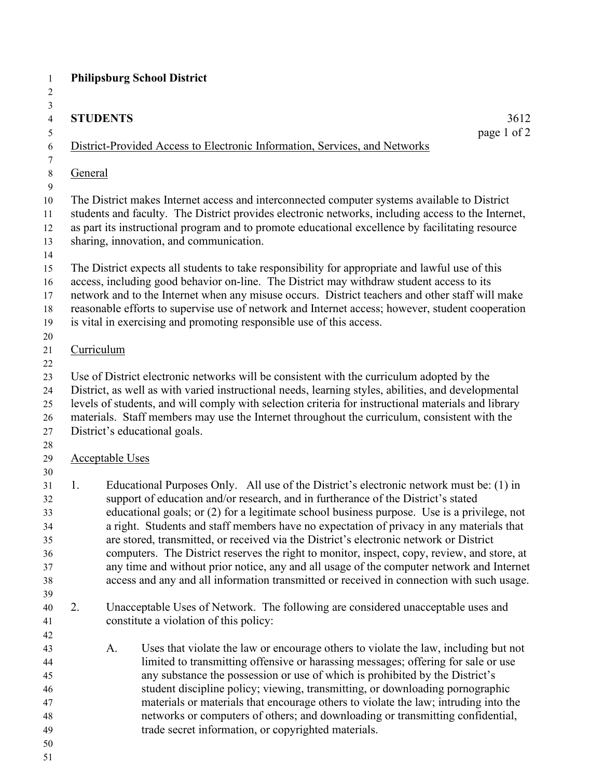| $\mathbf{1}$                                       |                                                                                                                                                                                                                                                                                                                                                   | <b>Philipsburg School District</b>                                                                                                                                                                                                                                                                                                                                                                                                                                                                                                                                                                                                                                                                                                                         |             |  |
|----------------------------------------------------|---------------------------------------------------------------------------------------------------------------------------------------------------------------------------------------------------------------------------------------------------------------------------------------------------------------------------------------------------|------------------------------------------------------------------------------------------------------------------------------------------------------------------------------------------------------------------------------------------------------------------------------------------------------------------------------------------------------------------------------------------------------------------------------------------------------------------------------------------------------------------------------------------------------------------------------------------------------------------------------------------------------------------------------------------------------------------------------------------------------------|-------------|--|
| 2                                                  |                                                                                                                                                                                                                                                                                                                                                   |                                                                                                                                                                                                                                                                                                                                                                                                                                                                                                                                                                                                                                                                                                                                                            |             |  |
| $\mathfrak{Z}$                                     |                                                                                                                                                                                                                                                                                                                                                   |                                                                                                                                                                                                                                                                                                                                                                                                                                                                                                                                                                                                                                                                                                                                                            |             |  |
| $\overline{4}$                                     |                                                                                                                                                                                                                                                                                                                                                   | <b>STUDENTS</b>                                                                                                                                                                                                                                                                                                                                                                                                                                                                                                                                                                                                                                                                                                                                            | 3612        |  |
| 5                                                  |                                                                                                                                                                                                                                                                                                                                                   |                                                                                                                                                                                                                                                                                                                                                                                                                                                                                                                                                                                                                                                                                                                                                            | page 1 of 2 |  |
| 6                                                  |                                                                                                                                                                                                                                                                                                                                                   | District-Provided Access to Electronic Information, Services, and Networks                                                                                                                                                                                                                                                                                                                                                                                                                                                                                                                                                                                                                                                                                 |             |  |
| 7                                                  |                                                                                                                                                                                                                                                                                                                                                   |                                                                                                                                                                                                                                                                                                                                                                                                                                                                                                                                                                                                                                                                                                                                                            |             |  |
| $8\,$<br>$\boldsymbol{9}$                          | General                                                                                                                                                                                                                                                                                                                                           |                                                                                                                                                                                                                                                                                                                                                                                                                                                                                                                                                                                                                                                                                                                                                            |             |  |
| 10<br>11<br>12<br>13                               | The District makes Internet access and interconnected computer systems available to District<br>students and faculty. The District provides electronic networks, including access to the Internet,<br>as part its instructional program and to promote educational excellence by facilitating resource<br>sharing, innovation, and communication. |                                                                                                                                                                                                                                                                                                                                                                                                                                                                                                                                                                                                                                                                                                                                                            |             |  |
| 14<br>15<br>16<br>17<br>18<br>19<br>20             |                                                                                                                                                                                                                                                                                                                                                   | The District expects all students to take responsibility for appropriate and lawful use of this<br>access, including good behavior on-line. The District may withdraw student access to its<br>network and to the Internet when any misuse occurs. District teachers and other staff will make<br>reasonable efforts to supervise use of network and Internet access; however, student cooperation<br>is vital in exercising and promoting responsible use of this access.                                                                                                                                                                                                                                                                                 |             |  |
| 21                                                 |                                                                                                                                                                                                                                                                                                                                                   | Curriculum                                                                                                                                                                                                                                                                                                                                                                                                                                                                                                                                                                                                                                                                                                                                                 |             |  |
| 22                                                 |                                                                                                                                                                                                                                                                                                                                                   |                                                                                                                                                                                                                                                                                                                                                                                                                                                                                                                                                                                                                                                                                                                                                            |             |  |
| 23                                                 |                                                                                                                                                                                                                                                                                                                                                   | Use of District electronic networks will be consistent with the curriculum adopted by the                                                                                                                                                                                                                                                                                                                                                                                                                                                                                                                                                                                                                                                                  |             |  |
| 24                                                 |                                                                                                                                                                                                                                                                                                                                                   | District, as well as with varied instructional needs, learning styles, abilities, and developmental                                                                                                                                                                                                                                                                                                                                                                                                                                                                                                                                                                                                                                                        |             |  |
| 25                                                 |                                                                                                                                                                                                                                                                                                                                                   | levels of students, and will comply with selection criteria for instructional materials and library                                                                                                                                                                                                                                                                                                                                                                                                                                                                                                                                                                                                                                                        |             |  |
| 26                                                 | materials. Staff members may use the Internet throughout the curriculum, consistent with the                                                                                                                                                                                                                                                      |                                                                                                                                                                                                                                                                                                                                                                                                                                                                                                                                                                                                                                                                                                                                                            |             |  |
| 27                                                 |                                                                                                                                                                                                                                                                                                                                                   | District's educational goals.                                                                                                                                                                                                                                                                                                                                                                                                                                                                                                                                                                                                                                                                                                                              |             |  |
| 28                                                 |                                                                                                                                                                                                                                                                                                                                                   |                                                                                                                                                                                                                                                                                                                                                                                                                                                                                                                                                                                                                                                                                                                                                            |             |  |
| 29                                                 |                                                                                                                                                                                                                                                                                                                                                   | <b>Acceptable Uses</b>                                                                                                                                                                                                                                                                                                                                                                                                                                                                                                                                                                                                                                                                                                                                     |             |  |
| 30                                                 |                                                                                                                                                                                                                                                                                                                                                   |                                                                                                                                                                                                                                                                                                                                                                                                                                                                                                                                                                                                                                                                                                                                                            |             |  |
| 31<br>32<br>33<br>34<br>35<br>36<br>37<br>38<br>39 | 1.                                                                                                                                                                                                                                                                                                                                                | Educational Purposes Only. All use of the District's electronic network must be: (1) in<br>support of education and/or research, and in furtherance of the District's stated<br>educational goals; or (2) for a legitimate school business purpose. Use is a privilege, not<br>a right. Students and staff members have no expectation of privacy in any materials that<br>are stored, transmitted, or received via the District's electronic network or District<br>computers. The District reserves the right to monitor, inspect, copy, review, and store, at<br>any time and without prior notice, any and all usage of the computer network and Internet<br>access and any and all information transmitted or received in connection with such usage. |             |  |
| 40                                                 | 2.                                                                                                                                                                                                                                                                                                                                                | Unacceptable Uses of Network. The following are considered unacceptable uses and                                                                                                                                                                                                                                                                                                                                                                                                                                                                                                                                                                                                                                                                           |             |  |
| 41                                                 |                                                                                                                                                                                                                                                                                                                                                   | constitute a violation of this policy:                                                                                                                                                                                                                                                                                                                                                                                                                                                                                                                                                                                                                                                                                                                     |             |  |
| 42                                                 |                                                                                                                                                                                                                                                                                                                                                   |                                                                                                                                                                                                                                                                                                                                                                                                                                                                                                                                                                                                                                                                                                                                                            |             |  |
| 43                                                 |                                                                                                                                                                                                                                                                                                                                                   | A.<br>Uses that violate the law or encourage others to violate the law, including but not                                                                                                                                                                                                                                                                                                                                                                                                                                                                                                                                                                                                                                                                  |             |  |
| 44                                                 |                                                                                                                                                                                                                                                                                                                                                   | limited to transmitting offensive or harassing messages; offering for sale or use                                                                                                                                                                                                                                                                                                                                                                                                                                                                                                                                                                                                                                                                          |             |  |
| 45                                                 |                                                                                                                                                                                                                                                                                                                                                   | any substance the possession or use of which is prohibited by the District's                                                                                                                                                                                                                                                                                                                                                                                                                                                                                                                                                                                                                                                                               |             |  |
| 46                                                 |                                                                                                                                                                                                                                                                                                                                                   | student discipline policy; viewing, transmitting, or downloading pornographic                                                                                                                                                                                                                                                                                                                                                                                                                                                                                                                                                                                                                                                                              |             |  |
| 47                                                 |                                                                                                                                                                                                                                                                                                                                                   | materials or materials that encourage others to violate the law; intruding into the                                                                                                                                                                                                                                                                                                                                                                                                                                                                                                                                                                                                                                                                        |             |  |
| 48                                                 |                                                                                                                                                                                                                                                                                                                                                   | networks or computers of others; and downloading or transmitting confidential,                                                                                                                                                                                                                                                                                                                                                                                                                                                                                                                                                                                                                                                                             |             |  |
| 49                                                 |                                                                                                                                                                                                                                                                                                                                                   | trade secret information, or copyrighted materials.                                                                                                                                                                                                                                                                                                                                                                                                                                                                                                                                                                                                                                                                                                        |             |  |
| 50                                                 |                                                                                                                                                                                                                                                                                                                                                   |                                                                                                                                                                                                                                                                                                                                                                                                                                                                                                                                                                                                                                                                                                                                                            |             |  |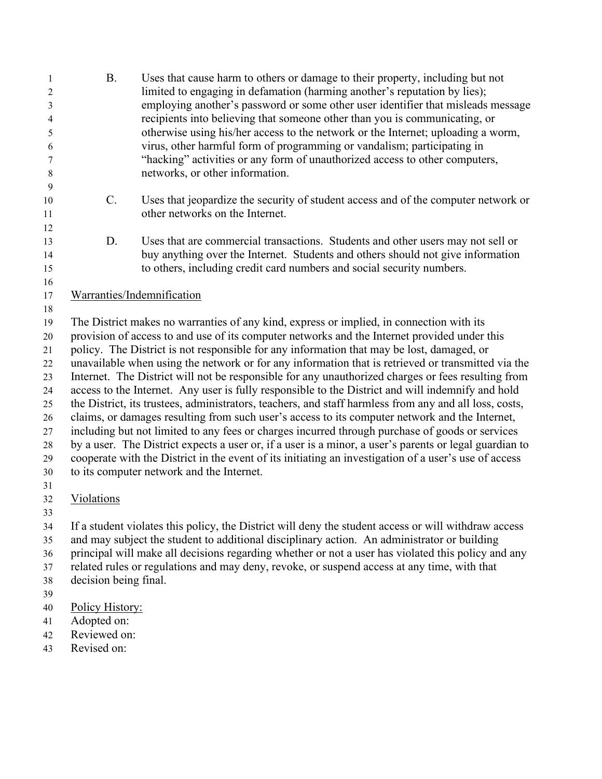| 1<br>$\overline{c}$<br>3<br>4<br>5<br>6<br>7<br>8                          | <b>B.</b>                                                                                                                                                                                                                                                                                                                                                                                                                                                                                                                                                                                                                                                                                                                                                                                                                                                                                                                                                                                                                                                                                                                                                                             | Uses that cause harm to others or damage to their property, including but not<br>limited to engaging in defamation (harming another's reputation by lies);<br>employing another's password or some other user identifier that misleads message<br>recipients into believing that someone other than you is communicating, or<br>otherwise using his/her access to the network or the Internet; uploading a worm,<br>virus, other harmful form of programming or vandalism; participating in<br>"hacking" activities or any form of unauthorized access to other computers,<br>networks, or other information. |  |  |  |
|----------------------------------------------------------------------------|---------------------------------------------------------------------------------------------------------------------------------------------------------------------------------------------------------------------------------------------------------------------------------------------------------------------------------------------------------------------------------------------------------------------------------------------------------------------------------------------------------------------------------------------------------------------------------------------------------------------------------------------------------------------------------------------------------------------------------------------------------------------------------------------------------------------------------------------------------------------------------------------------------------------------------------------------------------------------------------------------------------------------------------------------------------------------------------------------------------------------------------------------------------------------------------|---------------------------------------------------------------------------------------------------------------------------------------------------------------------------------------------------------------------------------------------------------------------------------------------------------------------------------------------------------------------------------------------------------------------------------------------------------------------------------------------------------------------------------------------------------------------------------------------------------------|--|--|--|
| 9<br>10<br>11                                                              | $C$ .                                                                                                                                                                                                                                                                                                                                                                                                                                                                                                                                                                                                                                                                                                                                                                                                                                                                                                                                                                                                                                                                                                                                                                                 | Uses that jeopardize the security of student access and of the computer network or<br>other networks on the Internet.                                                                                                                                                                                                                                                                                                                                                                                                                                                                                         |  |  |  |
| 12<br>13<br>14<br>15                                                       | D.                                                                                                                                                                                                                                                                                                                                                                                                                                                                                                                                                                                                                                                                                                                                                                                                                                                                                                                                                                                                                                                                                                                                                                                    | Uses that are commercial transactions. Students and other users may not sell or<br>buy anything over the Internet. Students and others should not give information<br>to others, including credit card numbers and social security numbers.                                                                                                                                                                                                                                                                                                                                                                   |  |  |  |
| 16<br>17                                                                   | Warranties/Indemnification                                                                                                                                                                                                                                                                                                                                                                                                                                                                                                                                                                                                                                                                                                                                                                                                                                                                                                                                                                                                                                                                                                                                                            |                                                                                                                                                                                                                                                                                                                                                                                                                                                                                                                                                                                                               |  |  |  |
| 18                                                                         |                                                                                                                                                                                                                                                                                                                                                                                                                                                                                                                                                                                                                                                                                                                                                                                                                                                                                                                                                                                                                                                                                                                                                                                       |                                                                                                                                                                                                                                                                                                                                                                                                                                                                                                                                                                                                               |  |  |  |
| 19<br>20<br>21<br>22<br>23<br>24<br>25<br>26<br>27<br>28<br>29<br>30<br>31 | The District makes no warranties of any kind, express or implied, in connection with its<br>provision of access to and use of its computer networks and the Internet provided under this<br>policy. The District is not responsible for any information that may be lost, damaged, or<br>unavailable when using the network or for any information that is retrieved or transmitted via the<br>Internet. The District will not be responsible for any unauthorized charges or fees resulting from<br>access to the Internet. Any user is fully responsible to the District and will indemnify and hold<br>the District, its trustees, administrators, teachers, and staff harmless from any and all loss, costs,<br>claims, or damages resulting from such user's access to its computer network and the Internet,<br>including but not limited to any fees or charges incurred through purchase of goods or services<br>by a user. The District expects a user or, if a user is a minor, a user's parents or legal guardian to<br>cooperate with the District in the event of its initiating an investigation of a user's use of access<br>to its computer network and the Internet. |                                                                                                                                                                                                                                                                                                                                                                                                                                                                                                                                                                                                               |  |  |  |
| 32                                                                         | Violations                                                                                                                                                                                                                                                                                                                                                                                                                                                                                                                                                                                                                                                                                                                                                                                                                                                                                                                                                                                                                                                                                                                                                                            |                                                                                                                                                                                                                                                                                                                                                                                                                                                                                                                                                                                                               |  |  |  |
| 33<br>34<br>35<br>36<br>37<br>38                                           | If a student violates this policy, the District will deny the student access or will withdraw access<br>and may subject the student to additional disciplinary action. An administrator or building<br>principal will make all decisions regarding whether or not a user has violated this policy and any<br>related rules or regulations and may deny, revoke, or suspend access at any time, with that<br>decision being final.                                                                                                                                                                                                                                                                                                                                                                                                                                                                                                                                                                                                                                                                                                                                                     |                                                                                                                                                                                                                                                                                                                                                                                                                                                                                                                                                                                                               |  |  |  |
| 39<br>40                                                                   | Policy History:                                                                                                                                                                                                                                                                                                                                                                                                                                                                                                                                                                                                                                                                                                                                                                                                                                                                                                                                                                                                                                                                                                                                                                       |                                                                                                                                                                                                                                                                                                                                                                                                                                                                                                                                                                                                               |  |  |  |
| 41                                                                         | Adopted on:                                                                                                                                                                                                                                                                                                                                                                                                                                                                                                                                                                                                                                                                                                                                                                                                                                                                                                                                                                                                                                                                                                                                                                           |                                                                                                                                                                                                                                                                                                                                                                                                                                                                                                                                                                                                               |  |  |  |
| 42                                                                         | Reviewed on:                                                                                                                                                                                                                                                                                                                                                                                                                                                                                                                                                                                                                                                                                                                                                                                                                                                                                                                                                                                                                                                                                                                                                                          |                                                                                                                                                                                                                                                                                                                                                                                                                                                                                                                                                                                                               |  |  |  |

Revised on: